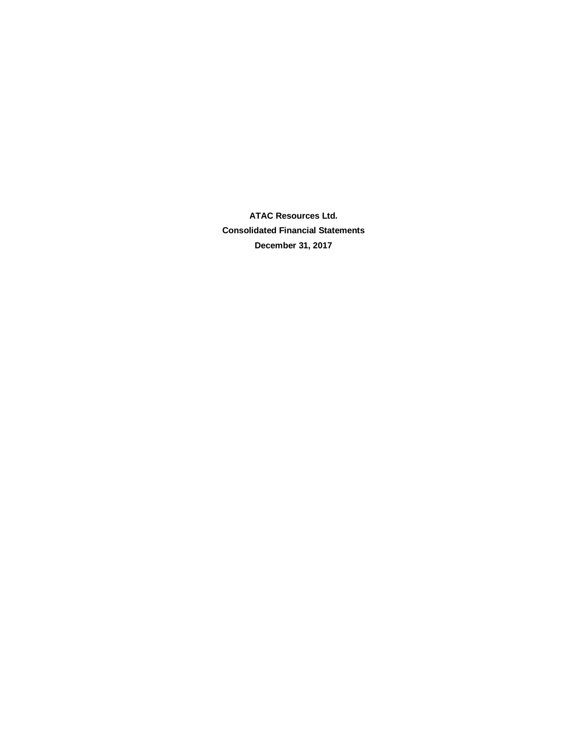**ATAC Resources Ltd. Consolidated Financial Statements December 31, 2017**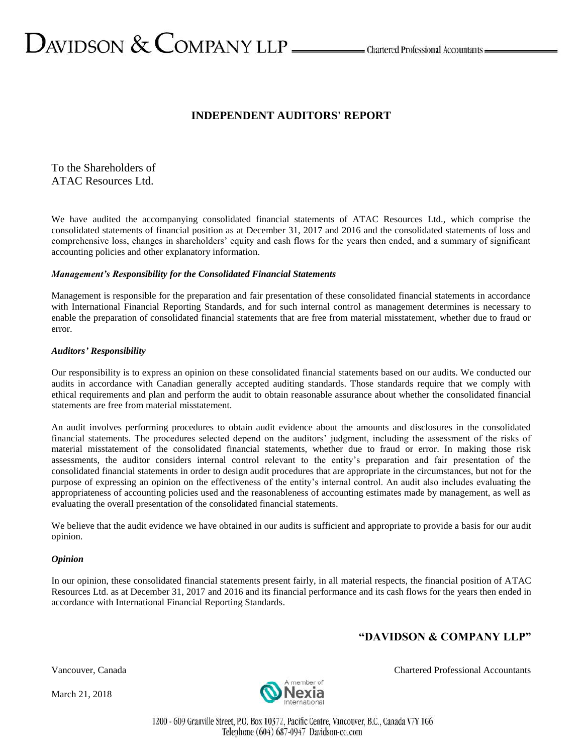# $D$ AVIDSON  $\&$  COMPANY LLP  $\_\_\_\_\$ Chartered Professional Accountants

# **INDEPENDENT AUDITORS' REPORT**

To the Shareholders of ATAC Resources Ltd.

We have audited the accompanying consolidated financial statements of ATAC Resources Ltd., which comprise the consolidated statements of financial position as at December 31, 2017 and 2016 and the consolidated statements of loss and comprehensive loss, changes in shareholders' equity and cash flows for the years then ended, and a summary of significant accounting policies and other explanatory information.

#### *Management's Responsibility for the Consolidated Financial Statements*

Management is responsible for the preparation and fair presentation of these consolidated financial statements in accordance with International Financial Reporting Standards, and for such internal control as management determines is necessary to enable the preparation of consolidated financial statements that are free from material misstatement, whether due to fraud or error.

## *Auditors' Responsibility*

Our responsibility is to express an opinion on these consolidated financial statements based on our audits. We conducted our audits in accordance with Canadian generally accepted auditing standards. Those standards require that we comply with ethical requirements and plan and perform the audit to obtain reasonable assurance about whether the consolidated financial statements are free from material misstatement.

An audit involves performing procedures to obtain audit evidence about the amounts and disclosures in the consolidated financial statements. The procedures selected depend on the auditors' judgment, including the assessment of the risks of material misstatement of the consolidated financial statements, whether due to fraud or error. In making those risk assessments, the auditor considers internal control relevant to the entity's preparation and fair presentation of the consolidated financial statements in order to design audit procedures that are appropriate in the circumstances, but not for the purpose of expressing an opinion on the effectiveness of the entity's internal control. An audit also includes evaluating the appropriateness of accounting policies used and the reasonableness of accounting estimates made by management, as well as evaluating the overall presentation of the consolidated financial statements.

We believe that the audit evidence we have obtained in our audits is sufficient and appropriate to provide a basis for our audit opinion.

#### *Opinion*

In our opinion, these consolidated financial statements present fairly, in all material respects, the financial position of ATAC Resources Ltd. as at December 31, 2017 and 2016 and its financial performance and its cash flows for the years then ended in accordance with International Financial Reporting Standards.

# **"DAVIDSON & COMPANY LLP"**

March 21, 2018



Vancouver, Canada Chartered Professional Accountants

1200 - 609 Granville Street, P.O. Box 10372, Pacific Centre, Vancouver, B.C., Canada V7Y 1G6 Telephone (604) 687-0947 Davidson-co.com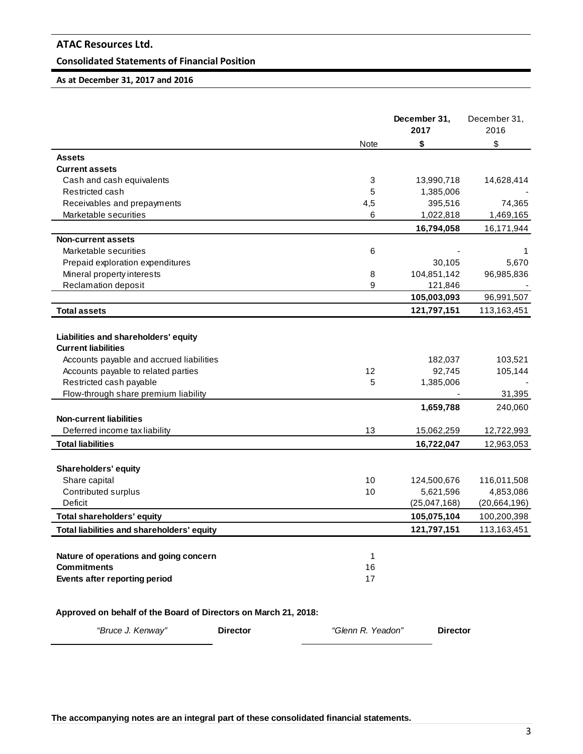# **Consolidated Statements of Financial Position**

# **As at December 31, 2017 and 2016**

|                                                                 |                 |                   | December 31,<br>2017 | December 31,<br>2016 |
|-----------------------------------------------------------------|-----------------|-------------------|----------------------|----------------------|
|                                                                 |                 | Note              | \$                   | \$                   |
| Assets                                                          |                 |                   |                      |                      |
| Current assets                                                  |                 |                   |                      |                      |
| Cash and cash equivalents                                       |                 | 3                 | 13,990,718           | 14,628,414           |
| Restricted cash                                                 |                 | 5                 | 1,385,006            |                      |
| Receivables and prepayments                                     |                 | 4,5               | 395,516              | 74,365               |
| Marketable securities                                           |                 | 6                 | 1,022,818            | 1,469,165            |
|                                                                 |                 |                   | 16,794,058           | 16,171,944           |
| <b>Non-current assets</b>                                       |                 |                   |                      |                      |
| Marketable securities                                           |                 | 6                 |                      | 1                    |
| Prepaid exploration expenditures                                |                 |                   | 30,105               | 5,670                |
| Mineral property interests                                      |                 | 8                 | 104,851,142          | 96,985,836           |
| Reclamation deposit                                             |                 | 9                 | 121,846              |                      |
|                                                                 |                 |                   | 105,003,093          | 96,991,507           |
| <b>Total assets</b>                                             |                 |                   | 121,797,151          | 113,163,451          |
|                                                                 |                 |                   |                      |                      |
| Liabilities and shareholders' equity                            |                 |                   |                      |                      |
| <b>Current liabilities</b>                                      |                 |                   |                      |                      |
| Accounts payable and accrued liabilities                        |                 |                   | 182,037              | 103,521              |
| Accounts payable to related parties                             |                 | 12                | 92,745               | 105,144              |
| Restricted cash payable                                         |                 | 5                 | 1,385,006            |                      |
| Flow-through share premium liability                            |                 |                   |                      | 31,395               |
|                                                                 |                 |                   | 1,659,788            | 240,060              |
| <b>Non-current liabilities</b>                                  |                 |                   |                      |                      |
| Deferred income tax liability                                   |                 | 13                | 15,062,259           | 12,722,993           |
| <b>Total liabilities</b>                                        |                 |                   | 16,722,047           | 12,963,053           |
|                                                                 |                 |                   |                      |                      |
| Shareholders' equity                                            |                 |                   |                      |                      |
| Share capital                                                   |                 | 10                | 124,500,676          | 116,011,508          |
| Contributed surplus                                             |                 | 10                | 5,621,596            | 4,853,086            |
| Deficit                                                         |                 |                   | (25,047,168)         | (20,664,196)         |
| <b>Total shareholders' equity</b>                               |                 |                   | 105,075,104          | 100,200,398          |
| Total liabilities and shareholders' equity                      |                 |                   | 121,797,151          | 113,163,451          |
|                                                                 |                 |                   |                      |                      |
| Nature of operations and going concern                          |                 | 1                 |                      |                      |
| <b>Commitments</b>                                              |                 | 16                |                      |                      |
| Events after reporting period                                   |                 | 17                |                      |                      |
|                                                                 |                 |                   |                      |                      |
| Approved on behalf of the Board of Directors on March 21, 2018: |                 |                   |                      |                      |
| "Bruce J. Kenway"                                               | <b>Director</b> | "Glenn R. Yeadon" | <b>Director</b>      |                      |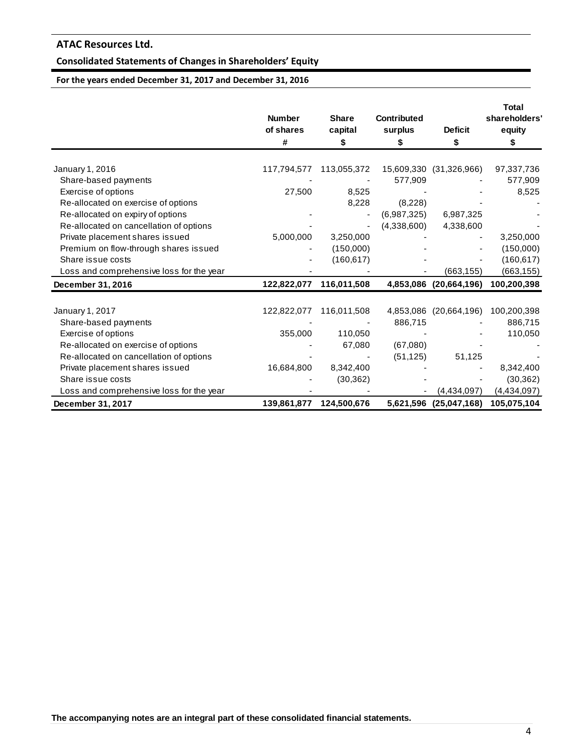# **Consolidated Statements of Changes in Shareholders' Equity**

**For the years ended December 31, 2017 and December 31, 2016**

|                                          | <b>Number</b><br>of shares<br># | <b>Share</b><br>capital<br>\$ | <b>Contributed</b><br>surplus<br>S | <b>Deficit</b><br>\$   | <b>Total</b><br>shareholders'<br>equity |
|------------------------------------------|---------------------------------|-------------------------------|------------------------------------|------------------------|-----------------------------------------|
| January 1, 2016                          | 117,794,577                     | 113,055,372                   | 15,609,330                         | (31,326,966)           | 97,337,736                              |
| Share-based payments                     |                                 |                               | 577,909                            |                        | 577,909                                 |
| Exercise of options                      | 27,500                          | 8,525                         |                                    |                        | 8,525                                   |
| Re-allocated on exercise of options      |                                 | 8,228                         | (8,228)                            |                        |                                         |
| Re-allocated on expiry of options        |                                 |                               | (6,987,325)                        | 6,987,325              |                                         |
| Re-allocated on cancellation of options  |                                 |                               | (4,338,600)                        | 4,338,600              |                                         |
| Private placement shares issued          | 5,000,000                       | 3,250,000                     |                                    |                        | 3,250,000                               |
| Premium on flow-through shares issued    |                                 | (150,000)                     |                                    |                        | (150,000)                               |
| Share issue costs                        |                                 | (160, 617)                    |                                    |                        | (160, 617)                              |
| Loss and comprehensive loss for the year |                                 |                               |                                    | (663, 155)             | (663, 155)                              |
| December 31, 2016                        | 122,822,077                     | 116,011,508                   |                                    | 4,853,086 (20,664,196) | 100,200,398                             |
| January 1, 2017                          | 122,822,077                     | 116,011,508                   | 4,853,086                          | (20,664,196)           | 100,200,398                             |
| Share-based payments                     |                                 |                               | 886,715                            |                        | 886,715                                 |
| Exercise of options                      | 355,000                         | 110,050                       |                                    |                        | 110,050                                 |
| Re-allocated on exercise of options      |                                 | 67,080                        | (67,080)                           |                        |                                         |
| Re-allocated on cancellation of options  |                                 |                               | (51, 125)                          | 51,125                 |                                         |
| Private placement shares issued          | 16,684,800                      | 8,342,400                     |                                    |                        | 8,342,400                               |
| Share issue costs                        |                                 | (30, 362)                     |                                    |                        | (30, 362)                               |
| Loss and comprehensive loss for the year |                                 |                               |                                    | (4,434,097)            | (4,434,097)                             |
| December 31, 2017                        | 139,861,877                     | 124,500,676                   |                                    | 5,621,596 (25,047,168) | 105,075,104                             |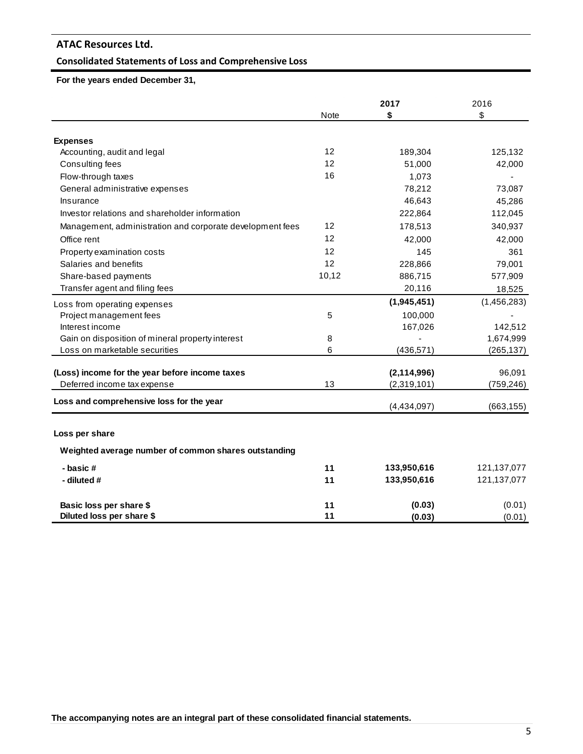# **Consolidated Statements of Loss and Comprehensive Loss**

 **For the years ended December 31,** 

|                                                           |             | 2017          | 2016          |
|-----------------------------------------------------------|-------------|---------------|---------------|
|                                                           | <b>Note</b> | \$            | \$            |
|                                                           |             |               |               |
| <b>Expenses</b>                                           | 12          |               |               |
| Accounting, audit and legal                               | 12          | 189,304       | 125,132       |
| Consulting fees                                           | 16          | 51,000        | 42,000        |
| Flow-through taxes                                        |             | 1,073         |               |
| General administrative expenses                           |             | 78,212        | 73,087        |
| Insurance                                                 |             | 46,643        | 45,286        |
| Investor relations and shareholder information            |             | 222,864       | 112,045       |
| Management, administration and corporate development fees | 12          | 178,513       | 340,937       |
| Office rent                                               | 12          | 42.000        | 42,000        |
| Property examination costs                                | 12          | 145           | 361           |
| Salaries and benefits                                     | 12          | 228,866       | 79,001        |
| Share-based payments                                      | 10,12       | 886,715       | 577,909       |
| Transfer agent and filing fees                            |             | 20,116        | 18,525        |
| Loss from operating expenses                              |             | (1,945,451)   | (1,456,283)   |
| Project management fees                                   | 5           | 100,000       |               |
| Interest income                                           |             | 167,026       | 142,512       |
| Gain on disposition of mineral property interest          | 8           |               | 1,674,999     |
| Loss on marketable securities                             | 6           | (436, 571)    | (265, 137)    |
| (Loss) income for the year before income taxes            |             | (2, 114, 996) | 96,091        |
| Deferred income tax expense                               | 13          | (2,319,101)   | (759, 246)    |
|                                                           |             |               |               |
| Loss and comprehensive loss for the year                  |             | (4,434,097)   | (663, 155)    |
| Loss per share                                            |             |               |               |
|                                                           |             |               |               |
| Weighted average number of common shares outstanding      |             |               |               |
| - basic #                                                 | 11          | 133,950,616   | 121, 137, 077 |
| - diluted #                                               | 11          | 133,950,616   | 121, 137, 077 |
| Basic loss per share \$                                   | 11          | (0.03)        | (0.01)        |
| Diluted loss per share \$                                 | 11          | (0.03)        | (0.01)        |

**The accompanying notes are an integral part of these consolidated financial statements.**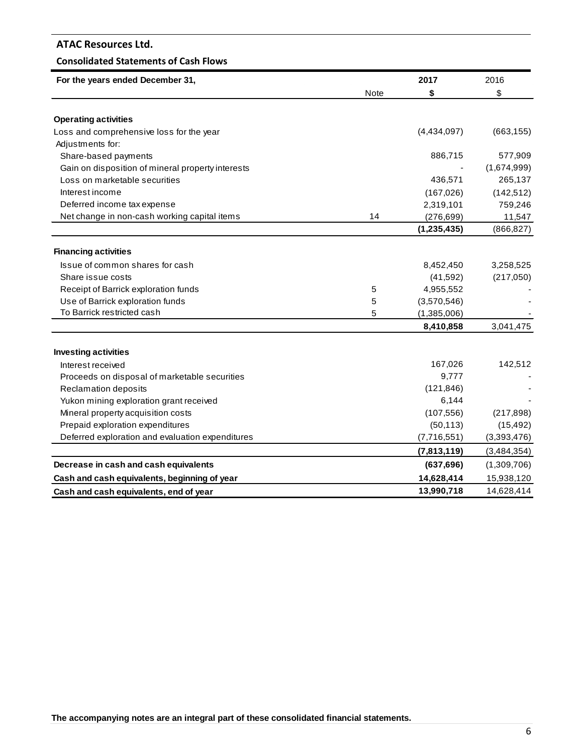# **Consolidated Statements of Cash Flows**

| For the years ended December 31,                  |             | 2017          | 2016        |
|---------------------------------------------------|-------------|---------------|-------------|
|                                                   | <b>Note</b> | \$            | \$          |
|                                                   |             |               |             |
| <b>Operating activities</b>                       |             |               |             |
| Loss and comprehensive loss for the year          |             | (4,434,097)   | (663, 155)  |
| Adjustments for:                                  |             |               |             |
| Share-based payments                              |             | 886,715       | 577,909     |
| Gain on disposition of mineral property interests |             |               | (1,674,999) |
| Loss on marketable securities                     |             | 436,571       | 265,137     |
| Interest income                                   |             | (167, 026)    | (142, 512)  |
| Deferred income tax expense                       |             | 2,319,101     | 759,246     |
| Net change in non-cash working capital items      | 14          | (276, 699)    | 11,547      |
|                                                   |             | (1, 235, 435) | (866, 827)  |
| <b>Financing activities</b>                       |             |               |             |
| Issue of common shares for cash                   |             | 8,452,450     | 3,258,525   |
| Share issue costs                                 |             | (41, 592)     | (217,050)   |
| Receipt of Barrick exploration funds              | 5           | 4,955,552     |             |
| Use of Barrick exploration funds                  | 5           | (3,570,546)   |             |
| To Barrick restricted cash                        | 5           | (1,385,006)   |             |
|                                                   |             | 8,410,858     | 3,041,475   |
|                                                   |             |               |             |
| <b>Investing activities</b>                       |             |               |             |
| Interest received                                 |             | 167,026       | 142,512     |
| Proceeds on disposal of marketable securities     |             | 9,777         |             |
| <b>Reclamation deposits</b>                       |             | (121, 846)    |             |
| Yukon mining exploration grant received           |             | 6,144         |             |
| Mineral property acquisition costs                |             | (107, 556)    | (217, 898)  |
| Prepaid exploration expenditures                  |             | (50, 113)     | (15, 492)   |
| Deferred exploration and evaluation expenditures  |             | (7,716,551)   | (3,393,476) |
|                                                   |             | (7,813,119)   | (3,484,354) |
| Decrease in cash and cash equivalents             |             | (637, 696)    | (1,309,706) |
| Cash and cash equivalents, beginning of year      |             | 14,628,414    | 15,938,120  |
| Cash and cash equivalents, end of year            |             | 13,990,718    | 14,628,414  |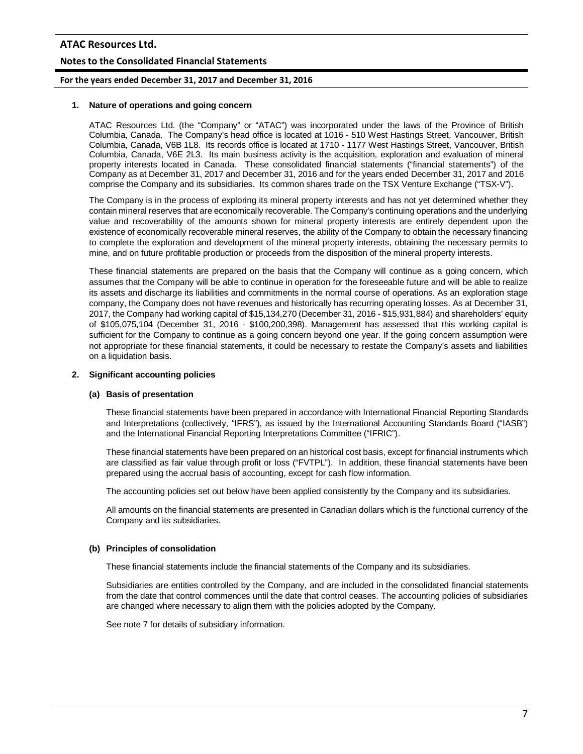# **Notes to the Consolidated Financial Statements**

# **For the years ended December 31, 2017 and December 31, 2016**

#### **1. Nature of operations and going concern**

ATAC Resources Ltd. (the "Company" or "ATAC") was incorporated under the laws of the Province of British Columbia, Canada. The Company's head office is located at 1016 - 510 West Hastings Street, Vancouver, British Columbia, Canada, V6B 1L8. Its records office is located at 1710 - 1177 West Hastings Street, Vancouver, British Columbia, Canada, V6E 2L3. Its main business activity is the acquisition, exploration and evaluation of mineral property interests located in Canada. These consolidated financial statements ("financial statements") of the Company as at December 31, 2017 and December 31, 2016 and for the years ended December 31, 2017 and 2016 comprise the Company and its subsidiaries. Its common shares trade on the TSX Venture Exchange ("TSX-V").

The Company is in the process of exploring its mineral property interests and has not yet determined whether they contain mineral reserves that are economically recoverable. The Company's continuing operations and the underlying value and recoverability of the amounts shown for mineral property interests are entirely dependent upon the existence of economically recoverable mineral reserves, the ability of the Company to obtain the necessary financing to complete the exploration and development of the mineral property interests, obtaining the necessary permits to mine, and on future profitable production or proceeds from the disposition of the mineral property interests.

These financial statements are prepared on the basis that the Company will continue as a going concern, which assumes that the Company will be able to continue in operation for the foreseeable future and will be able to realize its assets and discharge its liabilities and commitments in the normal course of operations. As an exploration stage company, the Company does not have revenues and historically has recurring operating losses. As at December 31, 2017, the Company had working capital of \$15,134,270 (December 31, 2016 - \$15,931,884) and shareholders' equity of \$105,075,104 (December 31, 2016 - \$100,200,398). Management has assessed that this working capital is sufficient for the Company to continue as a going concern beyond one year. If the going concern assumption were not appropriate for these financial statements, it could be necessary to restate the Company's assets and liabilities on a liquidation basis.

## **2. Significant accounting policies**

#### **(a) Basis of presentation**

These financial statements have been prepared in accordance with International Financial Reporting Standards and Interpretations (collectively, "IFRS"), as issued by the International Accounting Standards Board ("IASB") and the International Financial Reporting Interpretations Committee ("IFRIC").

These financial statements have been prepared on an historical cost basis, except for financial instruments which are classified as fair value through profit or loss ("FVTPL"). In addition, these financial statements have been prepared using the accrual basis of accounting, except for cash flow information.

The accounting policies set out below have been applied consistently by the Company and its subsidiaries.

All amounts on the financial statements are presented in Canadian dollars which is the functional currency of the Company and its subsidiaries.

#### **(b) Principles of consolidation**

These financial statements include the financial statements of the Company and its subsidiaries.

Subsidiaries are entities controlled by the Company, and are included in the consolidated financial statements from the date that control commences until the date that control ceases. The accounting policies of subsidiaries are changed where necessary to align them with the policies adopted by the Company.

See note 7 for details of subsidiary information.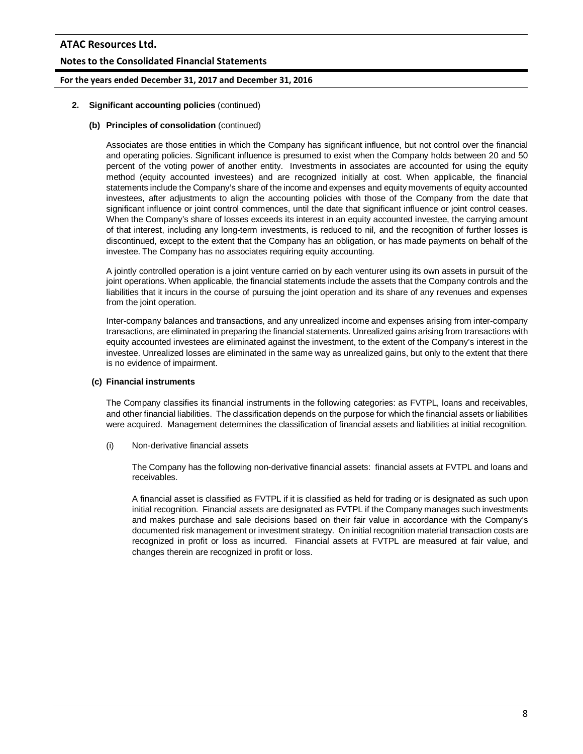# **Notes to the Consolidated Financial Statements**

# **For the years ended December 31, 2017 and December 31, 2016**

#### **2. Significant accounting policies** (continued)

## **(b) Principles of consolidation** (continued)

Associates are those entities in which the Company has significant influence, but not control over the financial and operating policies. Significant influence is presumed to exist when the Company holds between 20 and 50 percent of the voting power of another entity. Investments in associates are accounted for using the equity method (equity accounted investees) and are recognized initially at cost. When applicable, the financial statements include the Company's share of the income and expenses and equity movements of equity accounted investees, after adjustments to align the accounting policies with those of the Company from the date that significant influence or joint control commences, until the date that significant influence or joint control ceases. When the Company's share of losses exceeds its interest in an equity accounted investee, the carrying amount of that interest, including any long-term investments, is reduced to nil, and the recognition of further losses is discontinued, except to the extent that the Company has an obligation, or has made payments on behalf of the investee. The Company has no associates requiring equity accounting.

A jointly controlled operation is a joint venture carried on by each venturer using its own assets in pursuit of the joint operations. When applicable, the financial statements include the assets that the Company controls and the liabilities that it incurs in the course of pursuing the joint operation and its share of any revenues and expenses from the joint operation.

Inter-company balances and transactions, and any unrealized income and expenses arising from inter-company transactions, are eliminated in preparing the financial statements. Unrealized gains arising from transactions with equity accounted investees are eliminated against the investment, to the extent of the Company's interest in the investee. Unrealized losses are eliminated in the same way as unrealized gains, but only to the extent that there is no evidence of impairment.

#### **(c) Financial instruments**

The Company classifies its financial instruments in the following categories: as FVTPL, loans and receivables, and other financial liabilities. The classification depends on the purpose for which the financial assets or liabilities were acquired. Management determines the classification of financial assets and liabilities at initial recognition.

(i) Non-derivative financial assets

The Company has the following non-derivative financial assets: financial assets at FVTPL and loans and receivables.

A financial asset is classified as FVTPL if it is classified as held for trading or is designated as such upon initial recognition. Financial assets are designated as FVTPL if the Company manages such investments and makes purchase and sale decisions based on their fair value in accordance with the Company's documented risk management or investment strategy. On initial recognition material transaction costs are recognized in profit or loss as incurred. Financial assets at FVTPL are measured at fair value, and changes therein are recognized in profit or loss.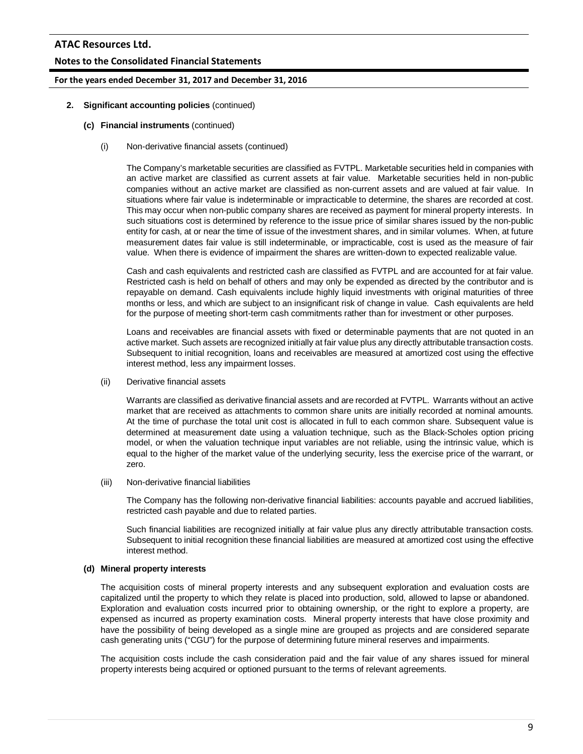# **Notes to the Consolidated Financial Statements**

## **For the years ended December 31, 2017 and December 31, 2016**

- **2. Significant accounting policies** (continued)
	- **(c) Financial instruments** (continued)
		- (i) Non-derivative financial assets (continued)

The Company's marketable securities are classified as FVTPL. Marketable securities held in companies with an active market are classified as current assets at fair value. Marketable securities held in non-public companies without an active market are classified as non-current assets and are valued at fair value. In situations where fair value is indeterminable or impracticable to determine, the shares are recorded at cost. This may occur when non-public company shares are received as payment for mineral property interests. In such situations cost is determined by reference to the issue price of similar shares issued by the non-public entity for cash, at or near the time of issue of the investment shares, and in similar volumes. When, at future measurement dates fair value is still indeterminable, or impracticable, cost is used as the measure of fair value. When there is evidence of impairment the shares are written-down to expected realizable value.

Cash and cash equivalents and restricted cash are classified as FVTPL and are accounted for at fair value. Restricted cash is held on behalf of others and may only be expended as directed by the contributor and is repayable on demand. Cash equivalents include highly liquid investments with original maturities of three months or less, and which are subject to an insignificant risk of change in value. Cash equivalents are held for the purpose of meeting short-term cash commitments rather than for investment or other purposes.

Loans and receivables are financial assets with fixed or determinable payments that are not quoted in an active market. Such assets are recognized initially at fair value plus any directly attributable transaction costs. Subsequent to initial recognition, loans and receivables are measured at amortized cost using the effective interest method, less any impairment losses.

(ii) Derivative financial assets

Warrants are classified as derivative financial assets and are recorded at FVTPL. Warrants without an active market that are received as attachments to common share units are initially recorded at nominal amounts. At the time of purchase the total unit cost is allocated in full to each common share. Subsequent value is determined at measurement date using a valuation technique, such as the Black-Scholes option pricing model, or when the valuation technique input variables are not reliable, using the intrinsic value, which is equal to the higher of the market value of the underlying security, less the exercise price of the warrant, or zero.

(iii) Non-derivative financial liabilities

The Company has the following non-derivative financial liabilities: accounts payable and accrued liabilities, restricted cash payable and due to related parties.

Such financial liabilities are recognized initially at fair value plus any directly attributable transaction costs. Subsequent to initial recognition these financial liabilities are measured at amortized cost using the effective interest method.

#### **(d) Mineral property interests**

The acquisition costs of mineral property interests and any subsequent exploration and evaluation costs are capitalized until the property to which they relate is placed into production, sold, allowed to lapse or abandoned. Exploration and evaluation costs incurred prior to obtaining ownership, or the right to explore a property, are expensed as incurred as property examination costs. Mineral property interests that have close proximity and have the possibility of being developed as a single mine are grouped as projects and are considered separate cash generating units ("CGU") for the purpose of determining future mineral reserves and impairments.

The acquisition costs include the cash consideration paid and the fair value of any shares issued for mineral property interests being acquired or optioned pursuant to the terms of relevant agreements.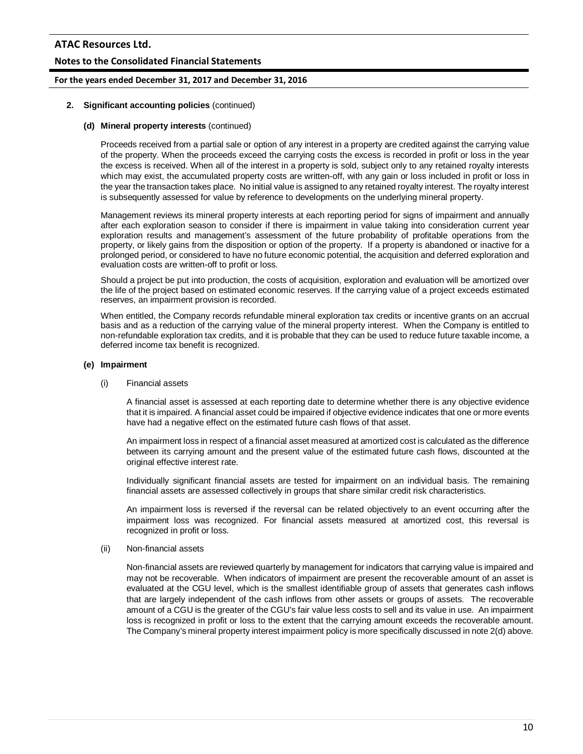## **Notes to the Consolidated Financial Statements**

## **For the years ended December 31, 2017 and December 31, 2016**

#### **2. Significant accounting policies** (continued)

## **(d) Mineral property interests** (continued)

Proceeds received from a partial sale or option of any interest in a property are credited against the carrying value of the property. When the proceeds exceed the carrying costs the excess is recorded in profit or loss in the year the excess is received. When all of the interest in a property is sold, subject only to any retained royalty interests which may exist, the accumulated property costs are written-off, with any gain or loss included in profit or loss in the year the transaction takes place. No initial value is assigned to any retained royalty interest. The royalty interest is subsequently assessed for value by reference to developments on the underlying mineral property.

Management reviews its mineral property interests at each reporting period for signs of impairment and annually after each exploration season to consider if there is impairment in value taking into consideration current year exploration results and management's assessment of the future probability of profitable operations from the property, or likely gains from the disposition or option of the property. If a property is abandoned or inactive for a prolonged period, or considered to have no future economic potential, the acquisition and deferred exploration and evaluation costs are written-off to profit or loss.

Should a project be put into production, the costs of acquisition, exploration and evaluation will be amortized over the life of the project based on estimated economic reserves. If the carrying value of a project exceeds estimated reserves, an impairment provision is recorded.

When entitled, the Company records refundable mineral exploration tax credits or incentive grants on an accrual basis and as a reduction of the carrying value of the mineral property interest. When the Company is entitled to non-refundable exploration tax credits, and it is probable that they can be used to reduce future taxable income, a deferred income tax benefit is recognized.

#### **(e) Impairment**

#### (i) Financial assets

A financial asset is assessed at each reporting date to determine whether there is any objective evidence that it is impaired. A financial asset could be impaired if objective evidence indicates that one or more events have had a negative effect on the estimated future cash flows of that asset.

An impairment loss in respect of a financial asset measured at amortized cost is calculated as the difference between its carrying amount and the present value of the estimated future cash flows, discounted at the original effective interest rate.

Individually significant financial assets are tested for impairment on an individual basis. The remaining financial assets are assessed collectively in groups that share similar credit risk characteristics.

An impairment loss is reversed if the reversal can be related objectively to an event occurring after the impairment loss was recognized. For financial assets measured at amortized cost, this reversal is recognized in profit or loss.

#### (ii) Non-financial assets

Non-financial assets are reviewed quarterly by management for indicators that carrying value is impaired and may not be recoverable. When indicators of impairment are present the recoverable amount of an asset is evaluated at the CGU level, which is the smallest identifiable group of assets that generates cash inflows that are largely independent of the cash inflows from other assets or groups of assets. The recoverable amount of a CGU is the greater of the CGU's fair value less costs to sell and its value in use. An impairment loss is recognized in profit or loss to the extent that the carrying amount exceeds the recoverable amount. The Company's mineral property interest impairment policy is more specifically discussed in note 2(d) above.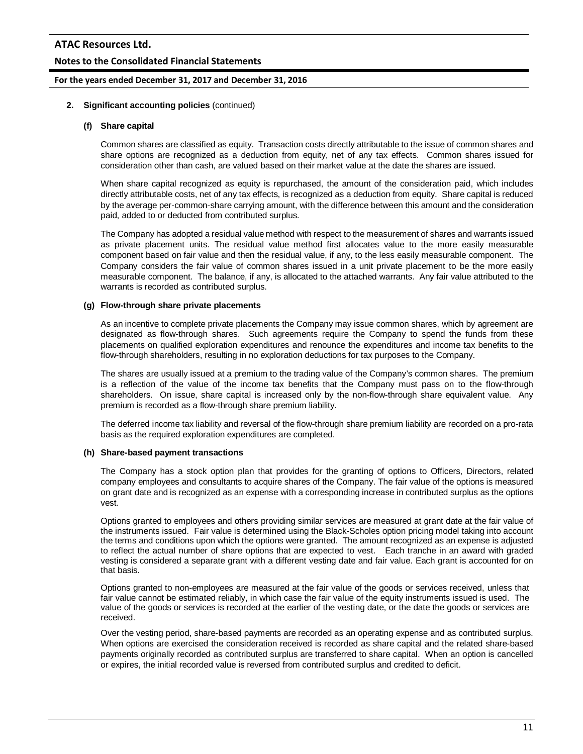## **Notes to the Consolidated Financial Statements**

#### **For the years ended December 31, 2017 and December 31, 2016**

#### **2. Significant accounting policies** (continued)

#### **(f) Share capital**

Common shares are classified as equity. Transaction costs directly attributable to the issue of common shares and share options are recognized as a deduction from equity, net of any tax effects. Common shares issued for consideration other than cash, are valued based on their market value at the date the shares are issued.

When share capital recognized as equity is repurchased, the amount of the consideration paid, which includes directly attributable costs, net of any tax effects, is recognized as a deduction from equity. Share capital is reduced by the average per-common-share carrying amount, with the difference between this amount and the consideration paid, added to or deducted from contributed surplus.

The Company has adopted a residual value method with respect to the measurement of shares and warrants issued as private placement units. The residual value method first allocates value to the more easily measurable component based on fair value and then the residual value, if any, to the less easily measurable component. The Company considers the fair value of common shares issued in a unit private placement to be the more easily measurable component. The balance, if any, is allocated to the attached warrants. Any fair value attributed to the warrants is recorded as contributed surplus.

#### **(g) Flow-through share private placements**

As an incentive to complete private placements the Company may issue common shares, which by agreement are designated as flow-through shares. Such agreements require the Company to spend the funds from these placements on qualified exploration expenditures and renounce the expenditures and income tax benefits to the flow-through shareholders, resulting in no exploration deductions for tax purposes to the Company.

The shares are usually issued at a premium to the trading value of the Company's common shares. The premium is a reflection of the value of the income tax benefits that the Company must pass on to the flow-through shareholders. On issue, share capital is increased only by the non-flow-through share equivalent value. Any premium is recorded as a flow-through share premium liability.

The deferred income tax liability and reversal of the flow-through share premium liability are recorded on a pro-rata basis as the required exploration expenditures are completed.

#### **(h) Share-based payment transactions**

The Company has a stock option plan that provides for the granting of options to Officers, Directors, related company employees and consultants to acquire shares of the Company. The fair value of the options is measured on grant date and is recognized as an expense with a corresponding increase in contributed surplus as the options vest.

Options granted to employees and others providing similar services are measured at grant date at the fair value of the instruments issued. Fair value is determined using the Black-Scholes option pricing model taking into account the terms and conditions upon which the options were granted. The amount recognized as an expense is adjusted to reflect the actual number of share options that are expected to vest. Each tranche in an award with graded vesting is considered a separate grant with a different vesting date and fair value. Each grant is accounted for on that basis.

Options granted to non-employees are measured at the fair value of the goods or services received, unless that fair value cannot be estimated reliably, in which case the fair value of the equity instruments issued is used. The value of the goods or services is recorded at the earlier of the vesting date, or the date the goods or services are received.

Over the vesting period, share-based payments are recorded as an operating expense and as contributed surplus. When options are exercised the consideration received is recorded as share capital and the related share-based payments originally recorded as contributed surplus are transferred to share capital. When an option is cancelled or expires, the initial recorded value is reversed from contributed surplus and credited to deficit.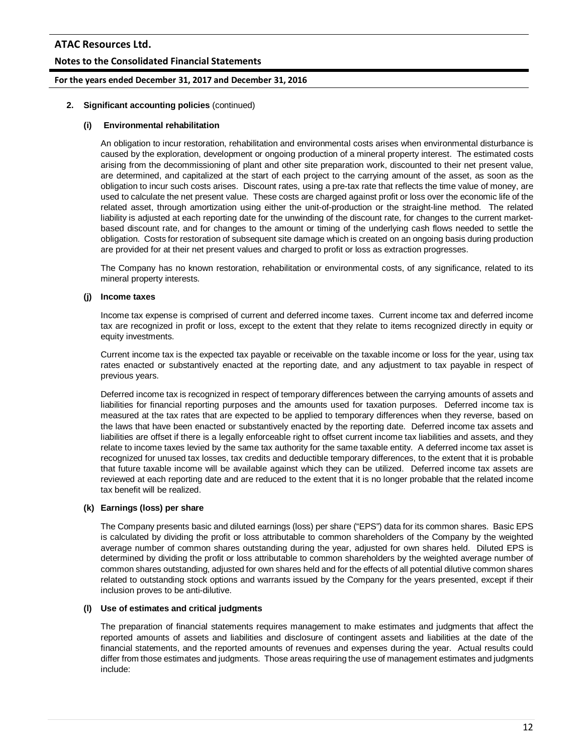# **Notes to the Consolidated Financial Statements**

## **For the years ended December 31, 2017 and December 31, 2016**

## **2. Significant accounting policies** (continued)

#### **(i) Environmental rehabilitation**

An obligation to incur restoration, rehabilitation and environmental costs arises when environmental disturbance is caused by the exploration, development or ongoing production of a mineral property interest. The estimated costs arising from the decommissioning of plant and other site preparation work, discounted to their net present value, are determined, and capitalized at the start of each project to the carrying amount of the asset, as soon as the obligation to incur such costs arises. Discount rates, using a pre-tax rate that reflects the time value of money, are used to calculate the net present value. These costs are charged against profit or loss over the economic life of the related asset, through amortization using either the unit-of-production or the straight-line method. The related liability is adjusted at each reporting date for the unwinding of the discount rate, for changes to the current marketbased discount rate, and for changes to the amount or timing of the underlying cash flows needed to settle the obligation. Costs for restoration of subsequent site damage which is created on an ongoing basis during production are provided for at their net present values and charged to profit or loss as extraction progresses.

The Company has no known restoration, rehabilitation or environmental costs, of any significance, related to its mineral property interests.

#### **(j) Income taxes**

Income tax expense is comprised of current and deferred income taxes. Current income tax and deferred income tax are recognized in profit or loss, except to the extent that they relate to items recognized directly in equity or equity investments.

Current income tax is the expected tax payable or receivable on the taxable income or loss for the year, using tax rates enacted or substantively enacted at the reporting date, and any adjustment to tax payable in respect of previous years.

Deferred income tax is recognized in respect of temporary differences between the carrying amounts of assets and liabilities for financial reporting purposes and the amounts used for taxation purposes. Deferred income tax is measured at the tax rates that are expected to be applied to temporary differences when they reverse, based on the laws that have been enacted or substantively enacted by the reporting date. Deferred income tax assets and liabilities are offset if there is a legally enforceable right to offset current income tax liabilities and assets, and they relate to income taxes levied by the same tax authority for the same taxable entity. A deferred income tax asset is recognized for unused tax losses, tax credits and deductible temporary differences, to the extent that it is probable that future taxable income will be available against which they can be utilized. Deferred income tax assets are reviewed at each reporting date and are reduced to the extent that it is no longer probable that the related income tax benefit will be realized.

#### **(k) Earnings (loss) per share**

The Company presents basic and diluted earnings (loss) per share ("EPS") data for its common shares. Basic EPS is calculated by dividing the profit or loss attributable to common shareholders of the Company by the weighted average number of common shares outstanding during the year, adjusted for own shares held. Diluted EPS is determined by dividing the profit or loss attributable to common shareholders by the weighted average number of common shares outstanding, adjusted for own shares held and for the effects of all potential dilutive common shares related to outstanding stock options and warrants issued by the Company for the years presented, except if their inclusion proves to be anti-dilutive.

#### **(l) Use of estimates and critical judgments**

The preparation of financial statements requires management to make estimates and judgments that affect the reported amounts of assets and liabilities and disclosure of contingent assets and liabilities at the date of the financial statements, and the reported amounts of revenues and expenses during the year. Actual results could differ from those estimates and judgments. Those areas requiring the use of management estimates and judgments include: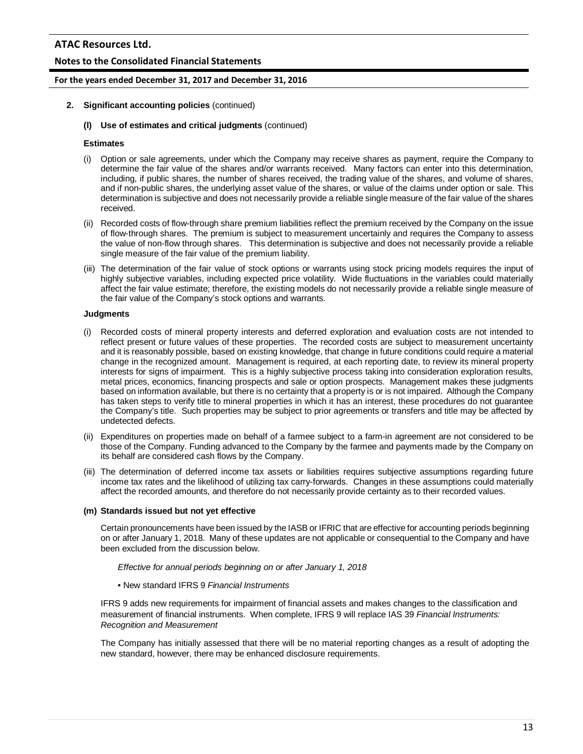# **Notes to the Consolidated Financial Statements**

#### **For the years ended December 31, 2017 and December 31, 2016**

- **2. Significant accounting policies** (continued)
	- **(l) Use of estimates and critical judgments** (continued)

## **Estimates**

- (i) Option or sale agreements, under which the Company may receive shares as payment, require the Company to determine the fair value of the shares and/or warrants received. Many factors can enter into this determination, including, if public shares, the number of shares received, the trading value of the shares, and volume of shares, and if non-public shares, the underlying asset value of the shares, or value of the claims under option or sale. This determination is subjective and does not necessarily provide a reliable single measure of the fair value of the shares received.
- (ii) Recorded costs of flow-through share premium liabilities reflect the premium received by the Company on the issue of flow-through shares. The premium is subject to measurement uncertainly and requires the Company to assess the value of non-flow through shares. This determination is subjective and does not necessarily provide a reliable single measure of the fair value of the premium liability.
- (iii) The determination of the fair value of stock options or warrants using stock pricing models requires the input of highly subjective variables, including expected price volatility. Wide fluctuations in the variables could materially affect the fair value estimate; therefore, the existing models do not necessarily provide a reliable single measure of the fair value of the Company's stock options and warrants.

## **Judgments**

- (i) Recorded costs of mineral property interests and deferred exploration and evaluation costs are not intended to reflect present or future values of these properties. The recorded costs are subject to measurement uncertainty and it is reasonably possible, based on existing knowledge, that change in future conditions could require a material change in the recognized amount. Management is required, at each reporting date, to review its mineral property interests for signs of impairment. This is a highly subjective process taking into consideration exploration results, metal prices, economics, financing prospects and sale or option prospects. Management makes these judgments based on information available, but there is no certainty that a property is or is not impaired. Although the Company has taken steps to verify title to mineral properties in which it has an interest, these procedures do not guarantee the Company's title. Such properties may be subject to prior agreements or transfers and title may be affected by undetected defects.
- (ii) Expenditures on properties made on behalf of a farmee subject to a farm-in agreement are not considered to be those of the Company. Funding advanced to the Company by the farmee and payments made by the Company on its behalf are considered cash flows by the Company.
- (iii) The determination of deferred income tax assets or liabilities requires subjective assumptions regarding future income tax rates and the likelihood of utilizing tax carry-forwards. Changes in these assumptions could materially affect the recorded amounts, and therefore do not necessarily provide certainty as to their recorded values.

#### **(m) Standards issued but not yet effective**

Certain pronouncements have been issued by the IASB or IFRIC that are effective for accounting periods beginning on or after January 1, 2018. Many of these updates are not applicable or consequential to the Company and have been excluded from the discussion below.

*Effective for annual periods beginning on or after January 1, 2018*

• New standard IFRS 9 *Financial Instruments*

IFRS 9 adds new requirements for impairment of financial assets and makes changes to the classification and measurement of financial instruments. When complete, IFRS 9 will replace IAS 39 *Financial Instruments: Recognition and Measurement*

The Company has initially assessed that there will be no material reporting changes as a result of adopting the new standard, however, there may be enhanced disclosure requirements.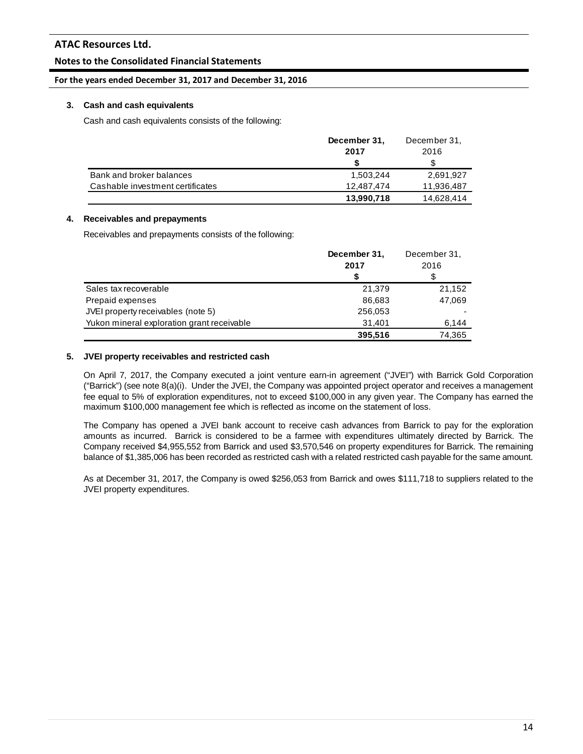# **Notes to the Consolidated Financial Statements**

## **For the years ended December 31, 2017 and December 31, 2016**

## **3. Cash and cash equivalents**

Cash and cash equivalents consists of the following:

|                                  | December 31, | December 31, |
|----------------------------------|--------------|--------------|
|                                  | 2017         | 2016         |
|                                  |              |              |
| Bank and broker balances         | 1.503.244    | 2,691,927    |
| Cashable investment certificates | 12.487.474   | 11,936,487   |
|                                  | 13,990,718   | 14,628,414   |

# **4. Receivables and prepayments**

Receivables and prepayments consists of the following:

|                                            | December 31, | December 31, |
|--------------------------------------------|--------------|--------------|
|                                            | 2017         | 2016         |
|                                            | \$           | \$           |
| Sales tax recoverable                      | 21,379       | 21,152       |
| Prepaid expenses                           | 86,683       | 47,069       |
| JVEI property receivables (note 5)         | 256,053      |              |
| Yukon mineral exploration grant receivable | 31,401       | 6,144        |
|                                            | 395,516      | 74.365       |

#### **5. JVEI property receivables and restricted cash**

On April 7, 2017, the Company executed a joint venture earn-in agreement ("JVEI") with Barrick Gold Corporation ("Barrick") (see note 8(a)(i). Under the JVEI, the Company was appointed project operator and receives a management fee equal to 5% of exploration expenditures, not to exceed \$100,000 in any given year. The Company has earned the maximum \$100,000 management fee which is reflected as income on the statement of loss.

The Company has opened a JVEI bank account to receive cash advances from Barrick to pay for the exploration amounts as incurred. Barrick is considered to be a farmee with expenditures ultimately directed by Barrick. The Company received \$4,955,552 from Barrick and used \$3,570,546 on property expenditures for Barrick. The remaining balance of \$1,385,006 has been recorded as restricted cash with a related restricted cash payable for the same amount.

As at December 31, 2017, the Company is owed \$256,053 from Barrick and owes \$111,718 to suppliers related to the JVEI property expenditures.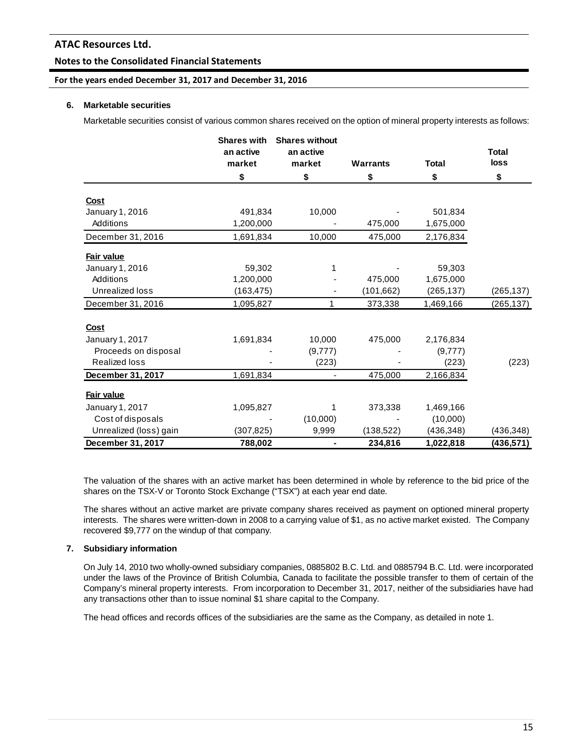## **Notes to the Consolidated Financial Statements**

# **For the years ended December 31, 2017 and December 31, 2016**

#### **6. Marketable securities**

Marketable securities consist of various common shares received on the option of mineral property interests as follows:

|                                              | <b>Shares with</b><br>an active<br>market | <b>Shares without</b><br>an active<br>market | <b>Warrants</b> | <b>Total</b>     | <b>Total</b><br>loss |
|----------------------------------------------|-------------------------------------------|----------------------------------------------|-----------------|------------------|----------------------|
|                                              | \$                                        | \$                                           | \$              | \$               | \$                   |
| Cost                                         |                                           |                                              |                 |                  |                      |
| January 1, 2016                              | 491,834                                   | 10,000                                       |                 | 501,834          |                      |
| Additions                                    | 1,200,000                                 |                                              | 475,000         | 1,675,000        |                      |
| December 31, 2016                            | 1,691,834                                 | 10,000                                       | 475,000         | 2,176,834        |                      |
| Fair value                                   |                                           |                                              |                 |                  |                      |
| January 1, 2016                              | 59,302                                    |                                              |                 | 59,303           |                      |
| Additions                                    | 1,200,000                                 |                                              | 475,000         | 1,675,000        |                      |
| Unrealized loss                              | (163, 475)                                |                                              | (101, 662)      | (265, 137)       | (265, 137)           |
| December 31, 2016                            | 1,095,827                                 | 1                                            | 373,338         | 1,469,166        | (265, 137)           |
|                                              |                                           |                                              |                 |                  |                      |
| Cost                                         |                                           |                                              |                 |                  |                      |
| January 1, 2017                              | 1,691,834                                 | 10,000                                       | 475,000         | 2,176,834        |                      |
| Proceeds on disposal<br><b>Realized loss</b> |                                           | (9,777)<br>(223)                             |                 | (9,777)<br>(223) | (223)                |
|                                              |                                           |                                              | 475,000         |                  |                      |
| December 31, 2017                            | 1,691,834                                 | $\overline{\phantom{a}}$                     |                 | 2,166,834        |                      |
| Fair value                                   |                                           |                                              |                 |                  |                      |
| January 1, 2017                              | 1,095,827                                 |                                              | 373,338         | 1,469,166        |                      |
| Cost of disposals                            |                                           | (10,000)                                     |                 | (10,000)         |                      |
| Unrealized (loss) gain                       | (307, 825)                                | 9,999                                        | (138, 522)      | (436,348)        | (436, 348)           |
| December 31, 2017                            | 788,002                                   |                                              | 234,816         | 1,022,818        | (436,571)            |

The valuation of the shares with an active market has been determined in whole by reference to the bid price of the shares on the TSX-V or Toronto Stock Exchange ("TSX") at each year end date.

The shares without an active market are private company shares received as payment on optioned mineral property interests. The shares were written-down in 2008 to a carrying value of \$1, as no active market existed. The Company recovered \$9,777 on the windup of that company.

## **7. Subsidiary information**

On July 14, 2010 two wholly-owned subsidiary companies, 0885802 B.C. Ltd. and 0885794 B.C. Ltd. were incorporated under the laws of the Province of British Columbia, Canada to facilitate the possible transfer to them of certain of the Company's mineral property interests. From incorporation to December 31, 2017, neither of the subsidiaries have had any transactions other than to issue nominal \$1 share capital to the Company.

The head offices and records offices of the subsidiaries are the same as the Company, as detailed in note 1.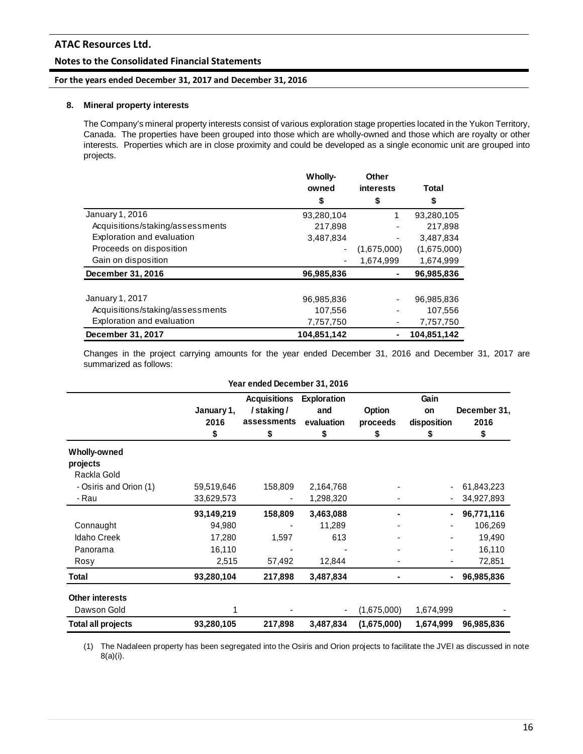## **Notes to the Consolidated Financial Statements**

## **For the years ended December 31, 2017 and December 31, 2016**

## **8. Mineral property interests**

The Company's mineral property interests consist of various exploration stage properties located in the Yukon Territory, Canada. The properties have been grouped into those which are wholly-owned and those which are royalty or other interests. Properties which are in close proximity and could be developed as a single economic unit are grouped into projects.

|                                  | <b>Wholly-</b> | Other            |              |
|----------------------------------|----------------|------------------|--------------|
|                                  | owned          | <b>interests</b> | <b>Total</b> |
|                                  | \$             | \$               | \$           |
| January 1, 2016                  | 93,280,104     | 1                | 93,280,105   |
| Acquisitions/staking/assessments | 217,898        |                  | 217,898      |
| Exploration and evaluation       | 3,487,834      |                  | 3,487,834    |
| Proceeds on disposition          | -              | (1,675,000)      | (1,675,000)  |
| Gain on disposition              |                | 1,674,999        | 1,674,999    |
| December 31, 2016                | 96,985,836     |                  | 96,985,836   |
|                                  |                |                  |              |
| January 1, 2017                  | 96,985,836     |                  | 96,985,836   |
| Acquisitions/staking/assessments | 107,556        |                  | 107,556      |
| Exploration and evaluation       | 7,757,750      |                  | 7,757,750    |
| December 31, 2017                | 104,851,142    |                  | 104,851,142  |

Changes in the project carrying amounts for the year ended December 31, 2016 and December 31, 2017 are summarized as follows:

|                           |            | Year ended December 31, 2016                                  |            |             |                              |                      |  |
|---------------------------|------------|---------------------------------------------------------------|------------|-------------|------------------------------|----------------------|--|
|                           | January 1, | <b>Acquisitions</b><br><b>Exploration</b><br>/staking/<br>and |            |             | Gain<br>Option<br>on         |                      |  |
|                           | 2016       | assessments                                                   | evaluation | proceeds    | disposition                  | December 31,<br>2016 |  |
|                           | \$         | \$                                                            | \$         | \$          | \$                           | \$                   |  |
| <b>Wholly-owned</b>       |            |                                                               |            |             |                              |                      |  |
| projects<br>Rackla Gold   |            |                                                               |            |             |                              |                      |  |
| - Osiris and Orion (1)    | 59,519,646 | 158,809                                                       | 2,164,768  |             |                              | 61,843,223           |  |
| - Rau                     | 33,629,573 |                                                               | 1,298,320  |             | $\qquad \qquad \blacksquare$ | 34,927,893           |  |
|                           | 93,149,219 | 158,809                                                       | 3,463,088  |             | ٠                            | 96,771,116           |  |
| Connaught                 | 94,980     |                                                               | 11,289     |             |                              | 106,269              |  |
| <b>Idaho Creek</b>        | 17,280     | 1,597                                                         | 613        |             |                              | 19,490               |  |
| Panorama                  | 16,110     |                                                               |            |             |                              | 16,110               |  |
| Rosy                      | 2,515      | 57,492                                                        | 12,844     |             |                              | 72,851               |  |
| Total                     | 93,280,104 | 217,898                                                       | 3,487,834  |             | ٠                            | 96,985,836           |  |
| <b>Other interests</b>    |            |                                                               |            |             |                              |                      |  |
| Dawson Gold               |            |                                                               |            | (1,675,000) | 1,674,999                    |                      |  |
| <b>Total all projects</b> | 93,280,105 | 217,898                                                       | 3,487,834  | (1,675,000) | 1,674,999                    | 96,985,836           |  |

(1) The Nadaleen property has been segregated into the Osiris and Orion projects to facilitate the JVEI as discussed in note 8(a)(i).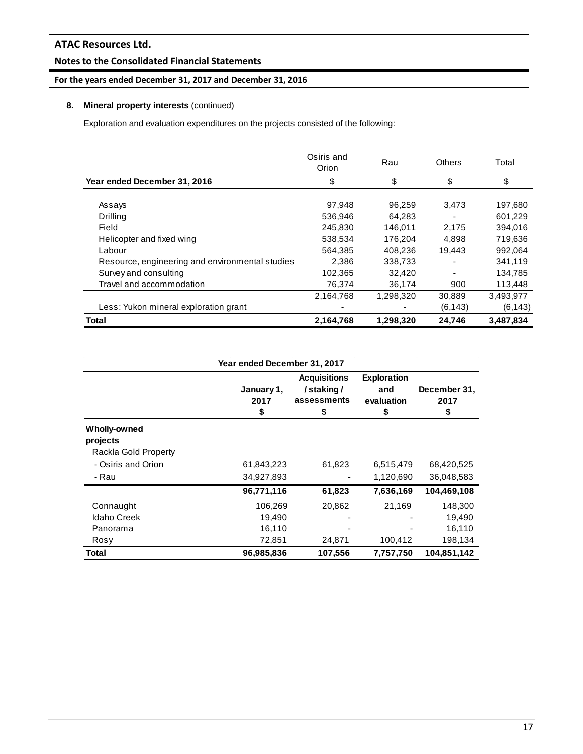# **Notes to the Consolidated Financial Statements**

# **For the years ended December 31, 2017 and December 31, 2016**

# **8. Mineral property interests** (continued)

Exploration and evaluation expenditures on the projects consisted of the following:

|                                                 | Osiris and<br>Orion | Rau       | <b>Others</b> | Total     |
|-------------------------------------------------|---------------------|-----------|---------------|-----------|
| Year ended December 31, 2016                    | \$                  | \$        | \$            | \$        |
| Assays                                          | 97,948              | 96.259    | 3,473         | 197,680   |
| Drilling                                        | 536,946             | 64.283    |               | 601.229   |
| Field                                           | 245,830             | 146,011   | 2,175         | 394,016   |
| Helicopter and fixed wing                       | 538,534             | 176,204   | 4,898         | 719,636   |
| Labour                                          | 564,385             | 408,236   | 19.443        | 992.064   |
| Resource, engineering and environmental studies | 2,386               | 338,733   |               | 341,119   |
| Survey and consulting                           | 102,365             | 32,420    |               | 134,785   |
| Travel and accommodation                        | 76,374              | 36,174    | 900           | 113,448   |
|                                                 | 2,164,768           | 1,298,320 | 30,889        | 3,493,977 |
| Less: Yukon mineral exploration grant           | -                   |           | (6, 143)      | (6, 143)  |
| <b>Total</b>                                    | 2,164,768           | 1,298,320 | 24,746        | 3,487,834 |

| Year ended December 31, 2017                     |                          |                                                       |                                               |                            |  |  |  |  |
|--------------------------------------------------|--------------------------|-------------------------------------------------------|-----------------------------------------------|----------------------------|--|--|--|--|
|                                                  | January 1,<br>2017<br>\$ | <b>Acquisitions</b><br>/staking/<br>assessments<br>55 | <b>Exploration</b><br>and<br>evaluation<br>\$ | December 31,<br>2017<br>\$ |  |  |  |  |
| Wholly-owned<br>projects<br>Rackla Gold Property |                          |                                                       |                                               |                            |  |  |  |  |
| - Osiris and Orion                               | 61,843,223               | 61,823                                                | 6,515,479                                     | 68,420,525                 |  |  |  |  |
| - Rau                                            | 34,927,893               |                                                       | 1,120,690                                     | 36,048,583                 |  |  |  |  |
|                                                  | 96,771,116               | 61,823                                                | 7,636,169                                     | 104,469,108                |  |  |  |  |
| Connaught                                        | 106,269                  | 20,862                                                | 21,169                                        | 148,300                    |  |  |  |  |
| <b>Idaho Creek</b>                               | 19,490                   |                                                       |                                               | 19,490                     |  |  |  |  |
| Panorama                                         | 16,110                   |                                                       |                                               | 16,110                     |  |  |  |  |
| Rosy                                             | 72,851                   | 24,871                                                | 100,412                                       | 198,134                    |  |  |  |  |
| Total                                            | 96,985,836               | 107,556                                               | 7,757,750                                     | 104,851,142                |  |  |  |  |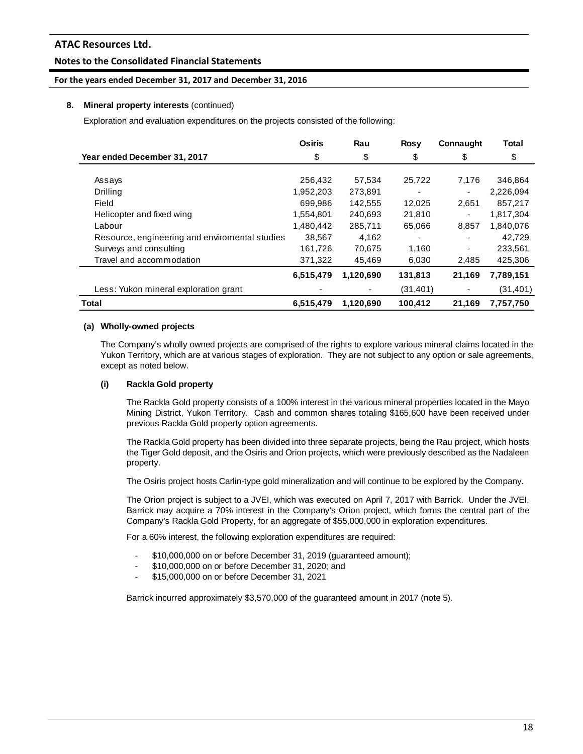# **Notes to the Consolidated Financial Statements**

## **For the years ended December 31, 2017 and December 31, 2016**

## **8. Mineral property interests** (continued)

Exploration and evaluation expenditures on the projects consisted of the following:

|                                                | <b>Osiris</b> | Rau       | <b>Rosy</b> | Connaught | <b>Total</b> |
|------------------------------------------------|---------------|-----------|-------------|-----------|--------------|
| Year ended December 31, 2017                   | \$            | \$        | \$          | \$        | \$           |
|                                                |               |           |             |           |              |
| Assays                                         | 256,432       | 57,534    | 25,722      | 7,176     | 346,864      |
| <b>Drilling</b>                                | 1,952,203     | 273,891   |             | ۰         | 2,226,094    |
| Field                                          | 699.986       | 142,555   | 12,025      | 2,651     | 857.217      |
| Helicopter and fixed wing                      | 1,554,801     | 240.693   | 21,810      | Ξ.        | 1,817,304    |
| Labour                                         | 1,480,442     | 285,711   | 65,066      | 8,857     | 1,840,076    |
| Resource, engineering and enviromental studies | 38,567        | 4,162     |             |           | 42.729       |
| Surveys and consulting                         | 161,726       | 70,675    | 1,160       |           | 233,561      |
| Travel and accommodation                       | 371,322       | 45.469    | 6,030       | 2,485     | 425,306      |
|                                                | 6,515,479     | 1,120,690 | 131,813     | 21,169    | 7,789,151    |
| Less: Yukon mineral exploration grant          |               |           | (31, 401)   |           | (31,401)     |
| <b>Total</b>                                   | 6,515,479     | 1,120,690 | 100,412     | 21,169    | 7,757,750    |

## **(a) Wholly-owned projects**

The Company's wholly owned projects are comprised of the rights to explore various mineral claims located in the Yukon Territory, which are at various stages of exploration. They are not subject to any option or sale agreements, except as noted below.

# **(i) Rackla Gold property**

The Rackla Gold property consists of a 100% interest in the various mineral properties located in the Mayo Mining District, Yukon Territory. Cash and common shares totaling \$165,600 have been received under previous Rackla Gold property option agreements.

The Rackla Gold property has been divided into three separate projects, being the Rau project, which hosts the Tiger Gold deposit, and the Osiris and Orion projects, which were previously described as the Nadaleen property.

The Osiris project hosts Carlin-type gold mineralization and will continue to be explored by the Company.

The Orion project is subject to a JVEI, which was executed on April 7, 2017 with Barrick. Under the JVEI, Barrick may acquire a 70% interest in the Company's Orion project, which forms the central part of the Company's Rackla Gold Property, for an aggregate of \$55,000,000 in exploration expenditures.

For a 60% interest, the following exploration expenditures are required:

- \$10,000,000 on or before December 31, 2019 (guaranteed amount);
- \$10,000,000 on or before December 31, 2020; and
- \$15,000,000 on or before December 31, 2021

Barrick incurred approximately \$3,570,000 of the guaranteed amount in 2017 (note 5).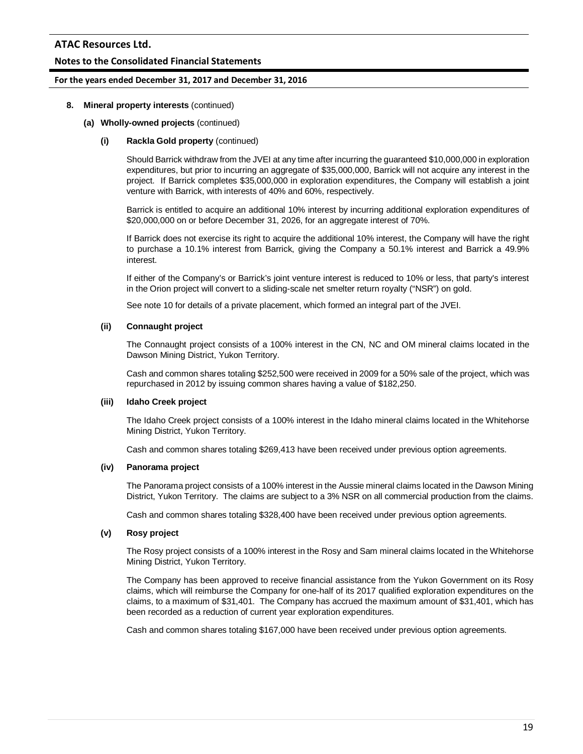## **Notes to the Consolidated Financial Statements**

#### **For the years ended December 31, 2017 and December 31, 2016**

#### **8. Mineral property interests** (continued)

#### **(a) Wholly-owned projects** (continued)

#### **(i) Rackla Gold property** (continued)

Should Barrick withdraw from the JVEI at any time after incurring the guaranteed \$10,000,000 in exploration expenditures, but prior to incurring an aggregate of \$35,000,000, Barrick will not acquire any interest in the project. If Barrick completes \$35,000,000 in exploration expenditures, the Company will establish a joint venture with Barrick, with interests of 40% and 60%, respectively.

Barrick is entitled to acquire an additional 10% interest by incurring additional exploration expenditures of \$20,000,000 on or before December 31, 2026, for an aggregate interest of 70%.

If Barrick does not exercise its right to acquire the additional 10% interest, the Company will have the right to purchase a 10.1% interest from Barrick, giving the Company a 50.1% interest and Barrick a 49.9% interest.

If either of the Company's or Barrick's joint venture interest is reduced to 10% or less, that party's interest in the Orion project will convert to a sliding-scale net smelter return royalty ("NSR") on gold.

See note 10 for details of a private placement, which formed an integral part of the JVEI.

#### **(ii) Connaught project**

The Connaught project consists of a 100% interest in the CN, NC and OM mineral claims located in the Dawson Mining District, Yukon Territory.

Cash and common shares totaling \$252,500 were received in 2009 for a 50% sale of the project, which was repurchased in 2012 by issuing common shares having a value of \$182,250.

#### **(iii) Idaho Creek project**

The Idaho Creek project consists of a 100% interest in the Idaho mineral claims located in the Whitehorse Mining District, Yukon Territory.

Cash and common shares totaling \$269,413 have been received under previous option agreements.

#### **(iv) Panorama project**

The Panorama project consists of a 100% interest in the Aussie mineral claims located in the Dawson Mining District, Yukon Territory. The claims are subject to a 3% NSR on all commercial production from the claims.

Cash and common shares totaling \$328,400 have been received under previous option agreements.

#### **(v) Rosy project**

The Rosy project consists of a 100% interest in the Rosy and Sam mineral claims located in the Whitehorse Mining District, Yukon Territory.

The Company has been approved to receive financial assistance from the Yukon Government on its Rosy claims, which will reimburse the Company for one-half of its 2017 qualified exploration expenditures on the claims, to a maximum of \$31,401. The Company has accrued the maximum amount of \$31,401, which has been recorded as a reduction of current year exploration expenditures.

Cash and common shares totaling \$167,000 have been received under previous option agreements.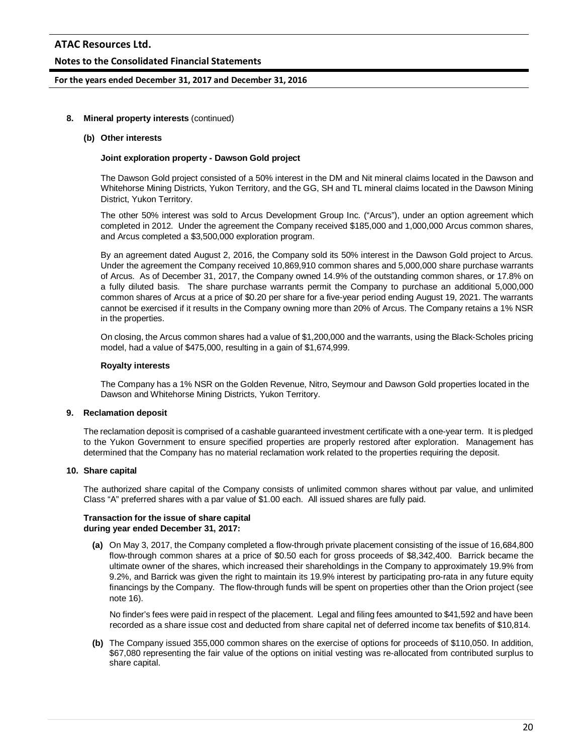## **Notes to the Consolidated Financial Statements**

#### **For the years ended December 31, 2017 and December 31, 2016**

#### **8. Mineral property interests** (continued)

#### **(b) Other interests**

#### **Joint exploration property - Dawson Gold project**

The Dawson Gold project consisted of a 50% interest in the DM and Nit mineral claims located in the Dawson and Whitehorse Mining Districts, Yukon Territory, and the GG, SH and TL mineral claims located in the Dawson Mining District, Yukon Territory.

The other 50% interest was sold to Arcus Development Group Inc. ("Arcus"), under an option agreement which completed in 2012. Under the agreement the Company received \$185,000 and 1,000,000 Arcus common shares, and Arcus completed a \$3,500,000 exploration program.

By an agreement dated August 2, 2016, the Company sold its 50% interest in the Dawson Gold project to Arcus. Under the agreement the Company received 10,869,910 common shares and 5,000,000 share purchase warrants of Arcus. As of December 31, 2017, the Company owned 14.9% of the outstanding common shares, or 17.8% on a fully diluted basis. The share purchase warrants permit the Company to purchase an additional 5,000,000 common shares of Arcus at a price of \$0.20 per share for a five-year period ending August 19, 2021. The warrants cannot be exercised if it results in the Company owning more than 20% of Arcus. The Company retains a 1% NSR in the properties.

On closing, the Arcus common shares had a value of \$1,200,000 and the warrants, using the Black-Scholes pricing model, had a value of \$475,000, resulting in a gain of \$1,674,999.

#### **Royalty interests**

The Company has a 1% NSR on the Golden Revenue, Nitro, Seymour and Dawson Gold properties located in the Dawson and Whitehorse Mining Districts, Yukon Territory.

#### **9. Reclamation deposit**

The reclamation deposit is comprised of a cashable guaranteed investment certificate with a one-year term. It is pledged to the Yukon Government to ensure specified properties are properly restored after exploration. Management has determined that the Company has no material reclamation work related to the properties requiring the deposit.

#### **10. Share capital**

The authorized share capital of the Company consists of unlimited common shares without par value, and unlimited Class "A" preferred shares with a par value of \$1.00 each. All issued shares are fully paid.

#### **Transaction for the issue of share capital during year ended December 31, 2017:**

**(a)** On May 3, 2017, the Company completed a flow-through private placement consisting of the issue of 16,684,800 flow-through common shares at a price of \$0.50 each for gross proceeds of \$8,342,400. Barrick became the ultimate owner of the shares, which increased their shareholdings in the Company to approximately 19.9% from 9.2%, and Barrick was given the right to maintain its 19.9% interest by participating pro-rata in any future equity financings by the Company. The flow-through funds will be spent on properties other than the Orion project (see note 16).

No finder's fees were paid in respect of the placement. Legal and filing fees amounted to \$41,592 and have been recorded as a share issue cost and deducted from share capital net of deferred income tax benefits of \$10,814.

**(b)** The Company issued 355,000 common shares on the exercise of options for proceeds of \$110,050. In addition, \$67,080 representing the fair value of the options on initial vesting was re-allocated from contributed surplus to share capital.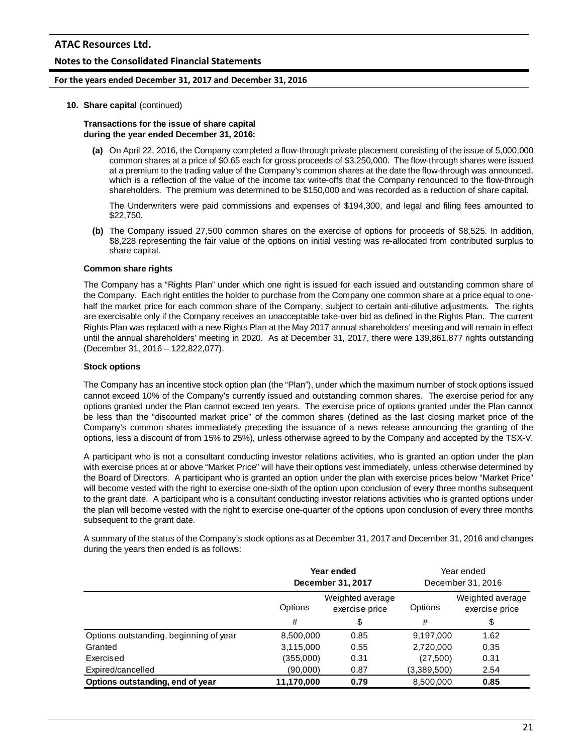## **Notes to the Consolidated Financial Statements**

#### **For the years ended December 31, 2017 and December 31, 2016**

#### **10. Share capital** (continued)

## **Transactions for the issue of share capital during the year ended December 31, 2016:**

**(a)** On April 22, 2016, the Company completed a flow-through private placement consisting of the issue of 5,000,000 common shares at a price of \$0.65 each for gross proceeds of \$3,250,000. The flow-through shares were issued at a premium to the trading value of the Company's common shares at the date the flow-through was announced, which is a reflection of the value of the income tax write-offs that the Company renounced to the flow-through shareholders. The premium was determined to be \$150,000 and was recorded as a reduction of share capital.

The Underwriters were paid commissions and expenses of \$194,300, and legal and filing fees amounted to \$22,750.

**(b)** The Company issued 27,500 common shares on the exercise of options for proceeds of \$8,525. In addition, \$8,228 representing the fair value of the options on initial vesting was re-allocated from contributed surplus to share capital.

#### **Common share rights**

The Company has a "Rights Plan" under which one right is issued for each issued and outstanding common share of the Company. Each right entitles the holder to purchase from the Company one common share at a price equal to onehalf the market price for each common share of the Company, subject to certain anti-dilutive adjustments. The rights are exercisable only if the Company receives an unacceptable take-over bid as defined in the Rights Plan. The current Rights Plan was replaced with a new Rights Plan at the May 2017 annual shareholders' meeting and will remain in effect until the annual shareholders' meeting in 2020. As at December 31, 2017, there were 139,861,877 rights outstanding (December 31, 2016 – 122,822,077).

#### **Stock options**

The Company has an incentive stock option plan (the "Plan"), under which the maximum number of stock options issued cannot exceed 10% of the Company's currently issued and outstanding common shares. The exercise period for any options granted under the Plan cannot exceed ten years. The exercise price of options granted under the Plan cannot be less than the "discounted market price" of the common shares (defined as the last closing market price of the Company's common shares immediately preceding the issuance of a news release announcing the granting of the options, less a discount of from 15% to 25%), unless otherwise agreed to by the Company and accepted by the TSX-V.

A participant who is not a consultant conducting investor relations activities, who is granted an option under the plan with exercise prices at or above "Market Price" will have their options vest immediately, unless otherwise determined by the Board of Directors. A participant who is granted an option under the plan with exercise prices below "Market Price" will become vested with the right to exercise one-sixth of the option upon conclusion of every three months subsequent to the grant date. A participant who is a consultant conducting investor relations activities who is granted options under the plan will become vested with the right to exercise one-quarter of the options upon conclusion of every three months subsequent to the grant date.

A summary of the status of the Company's stock options as at December 31, 2017 and December 31, 2016 and changes during the years then ended is as follows:

|                                        | Year ended<br>December 31, 2017               |      | Year ended<br>December 31, 2016 |                                    |
|----------------------------------------|-----------------------------------------------|------|---------------------------------|------------------------------------|
|                                        | Weighted average<br>Options<br>exercise price |      | Options                         | Weighted average<br>exercise price |
|                                        | #                                             | \$   | #                               | \$                                 |
| Options outstanding, beginning of year | 8,500,000                                     | 0.85 | 9,197,000                       | 1.62                               |
| Granted                                | 3,115,000                                     | 0.55 | 2,720,000                       | 0.35                               |
| Exercised                              | (355,000)                                     | 0.31 | (27,500)                        | 0.31                               |
| Expired/cancelled                      | (90,000)                                      | 0.87 | (3,389,500)                     | 2.54                               |
| Options outstanding, end of year       | 11.170.000                                    | 0.79 | 8.500.000                       | 0.85                               |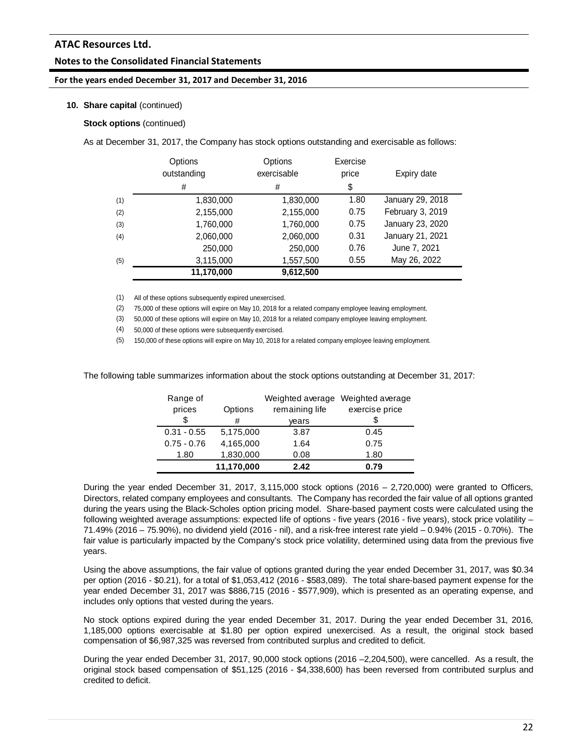## **Notes to the Consolidated Financial Statements**

#### **For the years ended December 31, 2017 and December 31, 2016**

#### **10. Share capital** (continued)

#### **Stock options** (continued)

As at December 31, 2017, the Company has stock options outstanding and exercisable as follows:

|     | Options<br>outstanding | Options<br>exercisable | Exercise<br>price | Expiry date      |
|-----|------------------------|------------------------|-------------------|------------------|
|     | #                      | #                      | \$                |                  |
| (1) | 1,830,000              | 1,830,000              | 1.80              | January 29, 2018 |
| (2) | 2,155,000              | 2,155,000              | 0.75              | February 3, 2019 |
| (3) | 1,760,000              | 1,760,000              | 0.75              | January 23, 2020 |
| (4) | 2,060,000              | 2,060,000              | 0.31              | January 21, 2021 |
|     | 250,000                | 250,000                | 0.76              | June 7, 2021     |
| (5) | 3,115,000              | 1,557,500              | 0.55              | May 26, 2022     |
|     | 11,170,000             | 9,612,500              |                   |                  |

(1) All of these options subsequently expired unexercised.

(2) 75,000 of these options will expire on May 10, 2018 for a related company employee leaving employment.

(3) 50,000 of these options will expire on May 10, 2018 for a related company employee leaving employment.

(4) 50,000 of these options were subsequently exercised.

(5) 150,000 of these options will expire on May 10, 2018 for a related company employee leaving employment.

The following table summarizes information about the stock options outstanding at December 31, 2017:

| Range of      |            | Weighted average | Weighted average |
|---------------|------------|------------------|------------------|
| prices        | Options    | remaining life   | exercise price   |
| \$            | #          | vears            |                  |
| $0.31 - 0.55$ | 5,175,000  | 3.87             | 0.45             |
| $0.75 - 0.76$ | 4,165,000  | 1.64             | 0.75             |
| 1.80          | 1,830,000  | 0.08             | 1.80             |
|               | 11,170,000 | 2.42             | 0.79             |

During the year ended December 31, 2017, 3,115,000 stock options (2016 – 2,720,000) were granted to Officers, Directors, related company employees and consultants. The Company has recorded the fair value of all options granted during the years using the Black-Scholes option pricing model. Share-based payment costs were calculated using the following weighted average assumptions: expected life of options - five years (2016 - five years), stock price volatility – 71.49% (2016 – 75.90%), no dividend yield (2016 - nil), and a risk-free interest rate yield – 0.94% (2015 - 0.70%). The fair value is particularly impacted by the Company's stock price volatility, determined using data from the previous five years.

Using the above assumptions, the fair value of options granted during the year ended December 31, 2017, was \$0.34 per option (2016 - \$0.21), for a total of \$1,053,412 (2016 - \$583,089). The total share-based payment expense for the year ended December 31, 2017 was \$886,715 (2016 - \$577,909), which is presented as an operating expense, and includes only options that vested during the years.

No stock options expired during the year ended December 31, 2017. During the year ended December 31, 2016, 1,185,000 options exercisable at \$1.80 per option expired unexercised. As a result, the original stock based compensation of \$6,987,325 was reversed from contributed surplus and credited to deficit.

During the year ended December 31, 2017, 90,000 stock options (2016 –2,204,500), were cancelled. As a result, the original stock based compensation of \$51,125 (2016 - \$4,338,600) has been reversed from contributed surplus and credited to deficit.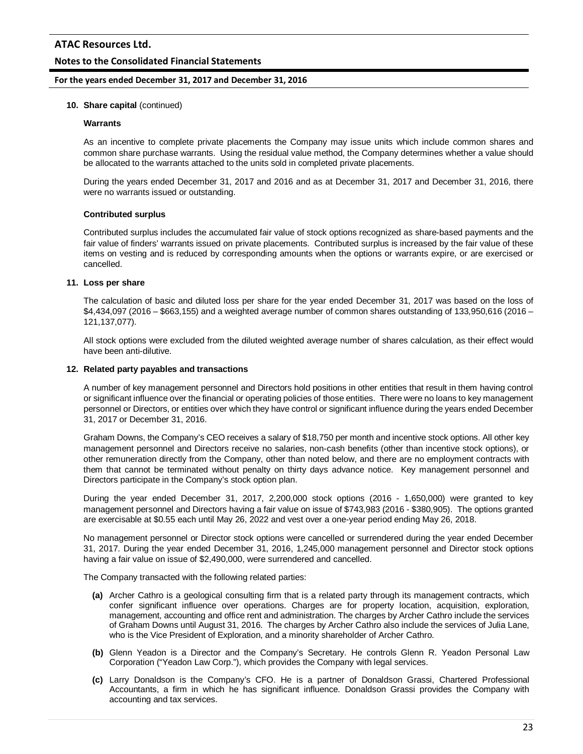## **Notes to the Consolidated Financial Statements**

#### **For the years ended December 31, 2017 and December 31, 2016**

#### **10. Share capital** (continued)

#### **Warrants**

As an incentive to complete private placements the Company may issue units which include common shares and common share purchase warrants. Using the residual value method, the Company determines whether a value should be allocated to the warrants attached to the units sold in completed private placements.

During the years ended December 31, 2017 and 2016 and as at December 31, 2017 and December 31, 2016, there were no warrants issued or outstanding.

#### **Contributed surplus**

Contributed surplus includes the accumulated fair value of stock options recognized as share-based payments and the fair value of finders' warrants issued on private placements. Contributed surplus is increased by the fair value of these items on vesting and is reduced by corresponding amounts when the options or warrants expire, or are exercised or cancelled.

#### **11. Loss per share**

The calculation of basic and diluted loss per share for the year ended December 31, 2017 was based on the loss of \$4,434,097 (2016 – \$663,155) and a weighted average number of common shares outstanding of 133,950,616 (2016 – 121,137,077).

All stock options were excluded from the diluted weighted average number of shares calculation, as their effect would have been anti-dilutive.

#### **12. Related party payables and transactions**

A number of key management personnel and Directors hold positions in other entities that result in them having control or significant influence over the financial or operating policies of those entities. There were no loans to key management personnel or Directors, or entities over which they have control or significant influence during the years ended December 31, 2017 or December 31, 2016.

Graham Downs, the Company's CEO receives a salary of \$18,750 per month and incentive stock options. All other key management personnel and Directors receive no salaries, non-cash benefits (other than incentive stock options), or other remuneration directly from the Company, other than noted below, and there are no employment contracts with them that cannot be terminated without penalty on thirty days advance notice. Key management personnel and Directors participate in the Company's stock option plan.

During the year ended December 31, 2017, 2,200,000 stock options (2016 - 1,650,000) were granted to key management personnel and Directors having a fair value on issue of \$743,983 (2016 - \$380,905). The options granted are exercisable at \$0.55 each until May 26, 2022 and vest over a one-year period ending May 26, 2018.

No management personnel or Director stock options were cancelled or surrendered during the year ended December 31, 2017. During the year ended December 31, 2016, 1,245,000 management personnel and Director stock options having a fair value on issue of \$2,490,000, were surrendered and cancelled.

The Company transacted with the following related parties:

- **(a)** Archer Cathro is a geological consulting firm that is a related party through its management contracts, which confer significant influence over operations. Charges are for property location, acquisition, exploration, management, accounting and office rent and administration. The charges by Archer Cathro include the services of Graham Downs until August 31, 2016. The charges by Archer Cathro also include the services of Julia Lane, who is the Vice President of Exploration, and a minority shareholder of Archer Cathro.
- **(b)** Glenn Yeadon is a Director and the Company's Secretary. He controls Glenn R. Yeadon Personal Law Corporation ("Yeadon Law Corp."), which provides the Company with legal services.
- **(c)** Larry Donaldson is the Company's CFO. He is a partner of Donaldson Grassi, Chartered Professional Accountants, a firm in which he has significant influence. Donaldson Grassi provides the Company with accounting and tax services.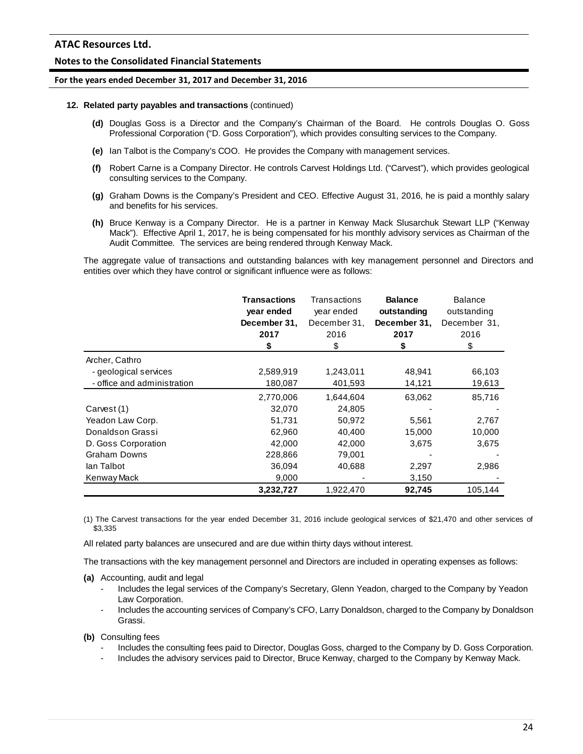# **Notes to the Consolidated Financial Statements**

#### **For the years ended December 31, 2017 and December 31, 2016**

#### **12. Related party payables and transactions** (continued)

- **(d)** Douglas Goss is a Director and the Company's Chairman of the Board. He controls Douglas O. Goss Professional Corporation ("D. Goss Corporation"), which provides consulting services to the Company.
- **(e)** Ian Talbot is the Company's COO. He provides the Company with management services.
- **(f)** Robert Carne is a Company Director. He controls Carvest Holdings Ltd. ("Carvest"), which provides geological consulting services to the Company.
- **(g)** Graham Downs is the Company's President and CEO. Effective August 31, 2016, he is paid a monthly salary and benefits for his services.
- **(h)** Bruce Kenway is a Company Director. He is a partner in Kenway Mack Slusarchuk Stewart LLP ("Kenway Mack"). Effective April 1, 2017, he is being compensated for his monthly advisory services as Chairman of the Audit Committee. The services are being rendered through Kenway Mack.

The aggregate value of transactions and outstanding balances with key management personnel and Directors and entities over which they have control or significant influence were as follows:

|                             | <b>Transactions</b><br>year ended<br>December 31,<br>2017<br>\$ | Transactions<br>year ended<br>December 31,<br>2016<br>\$ | <b>Balance</b><br>outstanding<br>December 31,<br>2017<br>\$ | <b>Balance</b><br>outstanding<br>December 31,<br>2016<br>\$ |
|-----------------------------|-----------------------------------------------------------------|----------------------------------------------------------|-------------------------------------------------------------|-------------------------------------------------------------|
| Archer, Cathro              |                                                                 |                                                          |                                                             |                                                             |
| - geological services       | 2,589,919                                                       | 1,243,011                                                | 48,941                                                      | 66,103                                                      |
| - office and administration | 180,087                                                         | 401,593                                                  | 14,121                                                      | 19,613                                                      |
|                             | 2,770,006                                                       | 1,644,604                                                | 63,062                                                      | 85,716                                                      |
| Carvest (1)                 | 32,070                                                          | 24,805                                                   |                                                             |                                                             |
| Yeadon Law Corp.            | 51,731                                                          | 50,972                                                   | 5,561                                                       | 2,767                                                       |
| Donaldson Grassi            | 62,960                                                          | 40,400                                                   | 15,000                                                      | 10,000                                                      |
| D. Goss Corporation         | 42,000                                                          | 42,000                                                   | 3,675                                                       | 3,675                                                       |
| <b>Graham Downs</b>         | 228,866                                                         | 79,001                                                   |                                                             |                                                             |
| lan Talbot                  | 36,094                                                          | 40.688                                                   | 2,297                                                       | 2,986                                                       |
| Kenway Mack                 | 9,000                                                           |                                                          | 3,150                                                       |                                                             |
|                             | 3,232,727                                                       | 1,922,470                                                | 92,745                                                      | 105.144                                                     |

(1) The Carvest transactions for the year ended December 31, 2016 include geological services of \$21,470 and other services of \$3,335

All related party balances are unsecured and are due within thirty days without interest.

The transactions with the key management personnel and Directors are included in operating expenses as follows:

- **(a)** Accounting, audit and legal
	- Includes the legal services of the Company's Secretary, Glenn Yeadon, charged to the Company by Yeadon Law Corporation.
	- Includes the accounting services of Company's CFO, Larry Donaldson, charged to the Company by Donaldson Grassi.

**(b)** Consulting fees

- Includes the consulting fees paid to Director, Douglas Goss, charged to the Company by D. Goss Corporation.
- Includes the advisory services paid to Director, Bruce Kenway, charged to the Company by Kenway Mack.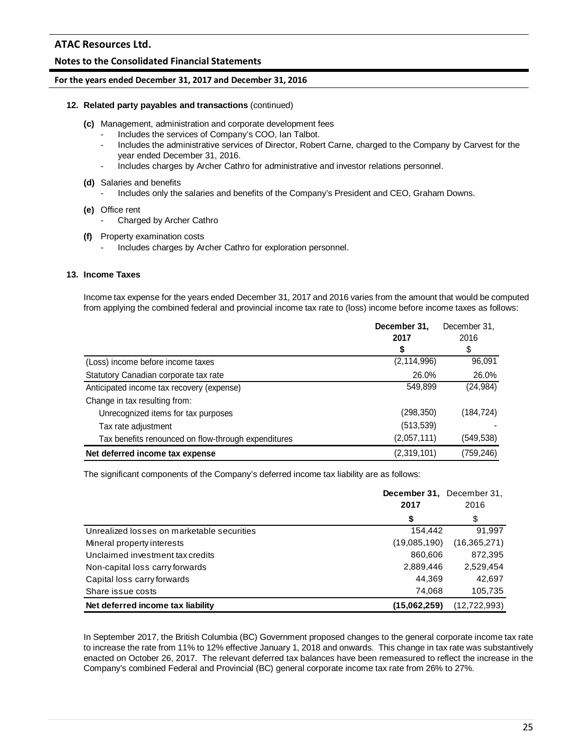## **Notes to the Consolidated Financial Statements**

#### **For the years ended December 31, 2017 and December 31, 2016**

#### **12. Related party payables and transactions** (continued)

- **(c)** Management, administration and corporate development fees
	- Includes the services of Company's COO, Ian Talbot.
	- Includes the administrative services of Director, Robert Carne, charged to the Company by Carvest for the year ended December 31, 2016.
	- Includes charges by Archer Cathro for administrative and investor relations personnel.
- **(d)** Salaries and benefits
	- Includes only the salaries and benefits of the Company's President and CEO, Graham Downs.
- **(e)** Office rent
	- Charged by Archer Cathro
- **(f)** Property examination costs
	- Includes charges by Archer Cathro for exploration personnel.

## **13. Income Taxes**

Income tax expense for the years ended December 31, 2017 and 2016 varies from the amount that would be computed from applying the combined federal and provincial income tax rate to (loss) income before income taxes as follows:

|                                                     | December 31,  | December 31, |
|-----------------------------------------------------|---------------|--------------|
|                                                     | 2017          | 2016         |
|                                                     |               | \$           |
| (Loss) income before income taxes                   | (2, 114, 996) | 96,091       |
| Statutory Canadian corporate tax rate               | 26.0%         | 26.0%        |
| Anticipated income tax recovery (expense)           | 549,899       | (24, 984)    |
| Change in tax resulting from:                       |               |              |
| Unrecognized items for tax purposes                 | (298, 350)    | (184, 724)   |
| Tax rate adjustment                                 | (513, 539)    |              |
| Tax benefits renounced on flow-through expenditures | (2,057,111)   | (549, 538)   |
| Net deferred income tax expense                     | (2,319,101)   | (759,246)    |

The significant components of the Company's deferred income tax liability are as follows:

|                                            | December 31, December 31,<br>2017 | 2016           |
|--------------------------------------------|-----------------------------------|----------------|
|                                            | \$                                | \$             |
| Unrealized losses on marketable securities | 154,442                           | 91,997         |
| Mineral property interests                 | (19,085,190)                      | (16, 365, 271) |
| Unclaimed investment tax credits           | 860,606                           | 872,395        |
| Non-capital loss carry forwards            | 2,889,446                         | 2,529,454      |
| Capital loss carry forwards                | 44.369                            | 42,697         |
| Share issue costs                          | 74.068                            | 105,735        |
| Net deferred income tax liability          | (15.062.259)                      | (12, 722, 993) |

In September 2017, the British Columbia (BC) Government proposed changes to the general corporate income tax rate to increase the rate from 11% to 12% effective January 1, 2018 and onwards. This change in tax rate was substantively enacted on October 26, 2017. The relevant deferred tax balances have been remeasured to reflect the increase in the Company's combined Federal and Provincial (BC) general corporate income tax rate from 26% to 27%.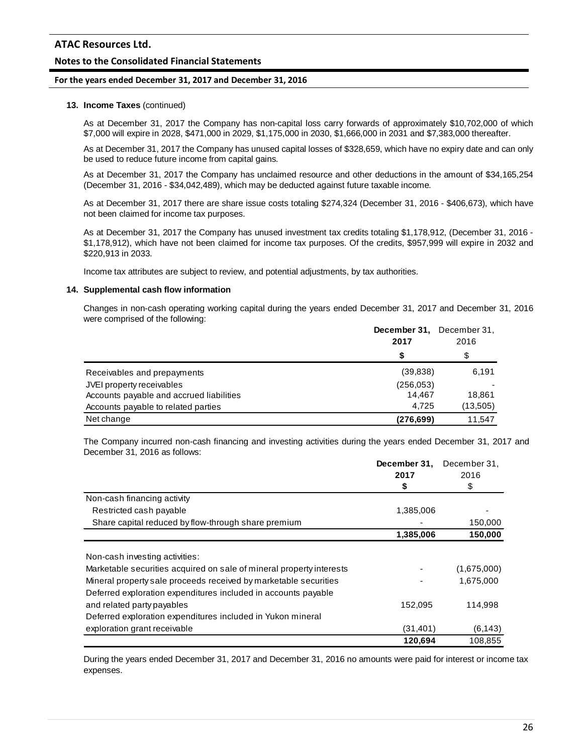# **Notes to the Consolidated Financial Statements**

#### **For the years ended December 31, 2017 and December 31, 2016**

#### **13. Income Taxes** (continued)

As at December 31, 2017 the Company has non-capital loss carry forwards of approximately \$10,702,000 of which \$7,000 will expire in 2028, \$471,000 in 2029, \$1,175,000 in 2030, \$1,666,000 in 2031 and \$7,383,000 thereafter.

As at December 31, 2017 the Company has unused capital losses of \$328,659, which have no expiry date and can only be used to reduce future income from capital gains.

As at December 31, 2017 the Company has unclaimed resource and other deductions in the amount of \$34,165,254 (December 31, 2016 - \$34,042,489), which may be deducted against future taxable income.

As at December 31, 2017 there are share issue costs totaling \$274,324 (December 31, 2016 - \$406,673), which have not been claimed for income tax purposes.

As at December 31, 2017 the Company has unused investment tax credits totaling \$1,178,912, (December 31, 2016 - \$1,178,912), which have not been claimed for income tax purposes. Of the credits, \$957,999 will expire in 2032 and \$220,913 in 2033.

Income tax attributes are subject to review, and potential adjustments, by tax authorities.

#### **14. Supplemental cash flow information**

Changes in non-cash operating working capital during the years ended December 31, 2017 and December 31, 2016 were comprised of the following:

|                                          | December 31,<br>2017 | December 31.<br>2016 |
|------------------------------------------|----------------------|----------------------|
|                                          |                      | \$                   |
| Receivables and prepayments              | (39, 838)            | 6,191                |
| JVEI property receivables                | (256, 053)           |                      |
| Accounts payable and accrued liabilities | 14.467               | 18.861               |
| Accounts payable to related parties      | 4.725                | (13,505)             |
| Net change                               | (276, 699)           | 11,547               |

The Company incurred non-cash financing and investing activities during the years ended December 31, 2017 and December 31, 2016 as follows:

|                                                                      | December 31. | December 31, |
|----------------------------------------------------------------------|--------------|--------------|
|                                                                      | 2017         | 2016         |
|                                                                      | \$           | \$           |
| Non-cash financing activity                                          |              |              |
| Restricted cash payable                                              | 1,385,006    |              |
| Share capital reduced by flow-through share premium                  |              | 150,000      |
|                                                                      | 1,385,006    | 150,000      |
|                                                                      |              |              |
| Non-cash investing activities:                                       |              |              |
| Marketable securities acquired on sale of mineral property interests |              | (1,675,000)  |
| Mineral property sale proceeds received by marketable securities     |              | 1,675,000    |
| Deferred exploration expenditures included in accounts payable       |              |              |
| and related party payables                                           | 152,095      | 114,998      |
| Deferred exploration expenditures included in Yukon mineral          |              |              |
| exploration grant receivable                                         | (31,401)     | (6, 143)     |
|                                                                      | 120,694      | 108.855      |

During the years ended December 31, 2017 and December 31, 2016 no amounts were paid for interest or income tax expenses.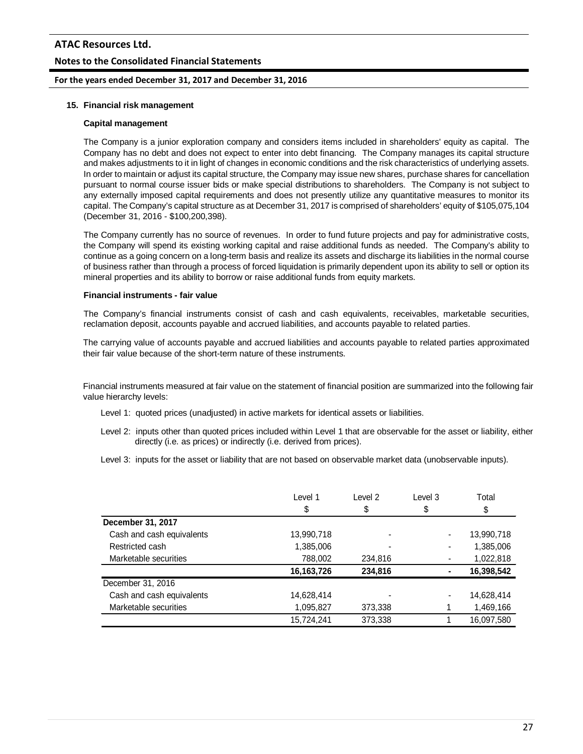## **Notes to the Consolidated Financial Statements**

#### **For the years ended December 31, 2017 and December 31, 2016**

#### **15. Financial risk management**

#### **Capital management**

The Company is a junior exploration company and considers items included in shareholders' equity as capital. The Company has no debt and does not expect to enter into debt financing. The Company manages its capital structure and makes adjustments to it in light of changes in economic conditions and the risk characteristics of underlying assets. In order to maintain or adjust its capital structure, the Company may issue new shares, purchase shares for cancellation pursuant to normal course issuer bids or make special distributions to shareholders. The Company is not subject to any externally imposed capital requirements and does not presently utilize any quantitative measures to monitor its capital. The Company's capital structure as at December 31, 2017 is comprised of shareholders' equity of \$105,075,104 (December 31, 2016 - \$100,200,398).

The Company currently has no source of revenues. In order to fund future projects and pay for administrative costs, the Company will spend its existing working capital and raise additional funds as needed. The Company's ability to continue as a going concern on a long-term basis and realize its assets and discharge its liabilities in the normal course of business rather than through a process of forced liquidation is primarily dependent upon its ability to sell or option its mineral properties and its ability to borrow or raise additional funds from equity markets.

#### **Financial instruments - fair value**

The Company's financial instruments consist of cash and cash equivalents, receivables, marketable securities, reclamation deposit, accounts payable and accrued liabilities, and accounts payable to related parties.

The carrying value of accounts payable and accrued liabilities and accounts payable to related parties approximated their fair value because of the short-term nature of these instruments.

Financial instruments measured at fair value on the statement of financial position are summarized into the following fair value hierarchy levels:

- Level 1: quoted prices (unadjusted) in active markets for identical assets or liabilities.
- Level 2: inputs other than quoted prices included within Level 1 that are observable for the asset or liability, either directly (i.e. as prices) or indirectly (i.e. derived from prices).
- Level 3: inputs for the asset or liability that are not based on observable market data (unobservable inputs).

|                           | Level 1<br>\$ | Level 2<br>\$ | Level 3<br>\$ | Total<br>\$ |
|---------------------------|---------------|---------------|---------------|-------------|
| December 31, 2017         |               |               |               |             |
| Cash and cash equivalents | 13,990,718    |               |               | 13,990,718  |
| Restricted cash           | 1,385,006     |               |               | 1,385,006   |
| Marketable securities     | 788,002       | 234,816       |               | 1,022,818   |
|                           | 16,163,726    | 234,816       |               | 16,398,542  |
| December 31, 2016         |               |               |               |             |
| Cash and cash equivalents | 14,628,414    |               |               | 14,628,414  |
| Marketable securities     | 1,095,827     | 373,338       |               | 1,469,166   |
|                           | 15.724.241    | 373.338       |               | 16,097,580  |